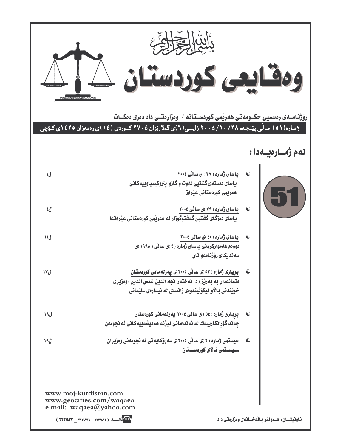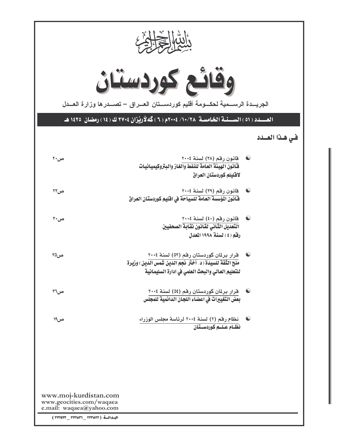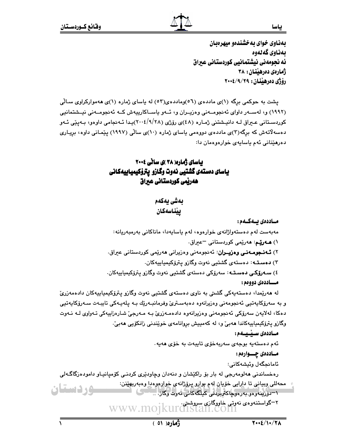بهذاوى خواي به خشندهو ميهرهبان بەناوي گەلەوە ئه نجومهني نيشتمانيي كوردستاني عيراق ژمارەي دەرھىننان : ،۳۸ رۆژى دەرھىنان : ٢٩/٩/٢٩

پشت به حوکمی برگه (۱)ی ماددهی (٥٦)وماددهی(٥٣) له پاسای ژماره (۱)ی ههموارکراوی سـالّی (١٩٩٢) و، لەسپەر داواي ئەنجوميەنى وەزيىران و، ئىەو ياسىاكارىيەش كىە ئەنجوميەنى نيىشتمانيى کوردسـتاني عــراق لــه دانيــشتني ژمـاره (٤٨)ي رۆژي (٢٠٠٤/٩/٢٨)يـدا ئــهـنجامي داوهو، بــهيييّ ئــهو دهسه لاتهش که برگه(۳)ی ماددهی دووهمی باسای ژماره (۱۰)ی سالی (۱۹۹۷) بینمانی داوه، بریاری دەرھێنانى ئەم باسابەي خوارەوەمان دا:

## بیاسای ژماره( ۳۸ )ی سانی ۲۰۰۶ ياساى دەستەى گشتيى نەوت وگازو يترۆكيمياييەكانى هەريمى كوردستانى عيراق

بەشى يەكەم ييناسهكان

مــاددەى بــەكــەم : مەبەست لەم دەستەواژانەي خوارەوە، لەم ياسايەدا، ماناكانى بەرمبەريانە: ۱) ه**ــەرێـم**: هەرێمى كوردستانى <sup>—</sup>عيراق. ۲) **ئــهنـجومــهنــي وەزيـــران**: ئـهنجومهنـي وەزيرانـي هـهريمـي كوردستانـي عيراق. ۳) دهستـه: دهستهى گشتيى نهوت وگازو پترۆكيمياييهكان. ٤) **سـەرۆكـى دەسـتــە**: سەرۆكى دەستەي گشتيى نەوت وگازو يترۆكيمياييەكان. مــاددەي دووەم : له هەرپىمدا، دەستەپەكى گشىتى بە ناوى دەستەي گشتىيى نەوت وگازو پترۆكپمپاييەكان دادەمەزرىّ و به سەرۆكاپەتيى ئەنجومەنى وەزيرانەوە دەبەسىترىّ وفرمانبـەرێك بـە پلەپـەكى تايبـەت سـەرۆكاپەتيى دهکا، لهلايەن سەرۆکى ئەنجومەنى وەزيرانەوە دادەمـەزرىّ بـه مـەرجىّ شـارەزاييەكى تـەواوى لـە نـەوت وگازو پترۆكيمياييەكاندا ھەبىؒ و، لە كەمپيش بروانامەي خوێندنى زانكۆيى ھەبىؒ· مساددەى سىبىسەم : ئەم دەستەيە بوجەي سەربەخۆى تايبەت بە خۆى ھەيە. مـاددەى چــوارەم: ئامانحگەل وئیشەكانى: رهخساندني هەلومەرجى لە بار بۆ راكێشان و دنەدان وچاودێرى كردنـي كۆمپانيـاو دامودەزگاگـەلى محەللي وبياني تا دارايي خۆيان لەم بوارو پرۆژانەي خوارەوەدا وەبەربھێنن: **وردستان** ١–دۆرپتەرەر بەرەرچاكترېردنى كېلگەكانى ئەرت وگاز. .. ---<br>۲–گواستنهوهي نهوتي خاووگازي سروشتي.<br>۲–گواستنهوهي که ۱۹ ک www.mo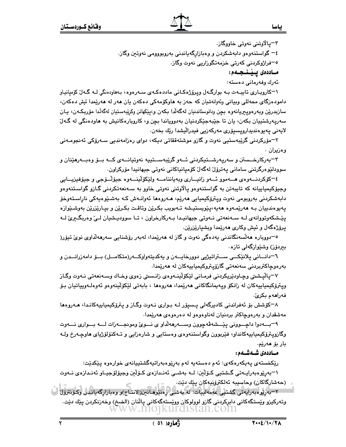٣–ڀالاوتني نهوتي خاووگاز.

٤– گواستنەوەو دابەشكردن و وەبازارگەياندنى بەروپووومى نەوتىن وگاز.

<sup>0</sup>–فراژوکردنی کەرتی خزمەتگوزاریی نەوت وگاز.

مـاددەى پـێـنـجــەم:

ئەرك وفەرمانى دەستە:

۱–کاروبـاری تایبــهت بــه بوارگــهل ویـرۆژهکـانـی ماددهکــهی ســهرهوه، بـههاودهنگی لــه گـهالٌ کوْميانيـاو دامودەزگای محەللی وبیانی وئەوانەشیان کە حەز بە ھاوکۆمەکی دەکەن یان ھەر لە ھەرپىدا ئىش دەکەن، سازبدرێن وبەرەوپىريانەوە بچن ودانوستاندنيان لەگەلّدا بكەن و،يێكهاتن وكرێبەستيان لەگەلّدا مۆربكـەن، يـان سەريەرشتييان بكەن، يان تا جێبەجێكردنيان بەدووياندا بچن و، كاروبارەكانيش بە ھاودەنگى لە گـەلّ لايەنى يەيوەندىدارويسىۆرى مەركەزيى فىدرالىشدا رێك بخەن.

۲–مۆرکردنی گرێبەستیی نەوت و گازو موشتەققاتی دیکە، دوای رەزامەندیی سـەرۆکی ئەنجومـەنی وەزيران .

۳–بەركارخــستن و سەرپەرشــتيكردنى ئــەو گرێبەســتييە نەوتيانـــەى كــە بــۆ وەبــەرھێنان و سوودلێوەرگرتنى سامانى پەترۆل لەگەل كۆمپانپاكانى نەوتى جېھانىدا مۆركراون.

٤–کۆکردنـــەوەی ھـــەموو ئـــەو زانيـــاری وبەياننامـــە ولێکۆلێنـــەوە جيۆلــۆجى و جيۆفيزيـــايى وجيۆكيمياييانه كه تايبەتن بە گواستنەوەو يالاوتنى نەوتى خاوو بە سـەنعەتكردنى گـازو گواسـتنەوەو دابەشكردنى بەروپومى نەوت ويترۆكيميايى ھەرێم، ھـﻪروەھا ئەوانـﻪش كـﻪ بەشىێوەيەكى ناراسـتەوخۆ پەيوەندىيان بـﻪ ھەرێمـﻪوە ھەيە،يێويستيـشە تـﻪبويب بكـرێن وتاقـت بكـرێن و بيـارێزرێن بەوشـێوازە پٽشكەوتووانەي لــه ســەنعەتى نــەوتى جيھانيـدا بــەركارخراون ، تــا سووديـشيان لــىٰ وەربگـيرىٰ لــه پرۆژەگەل و ئېش وكارى ھەرێمدا وېشپارێزرێن.

٥–دووباره هەڵسەنگاندنى يەدەگى نەوت و گاز لە ھەرێمدا، لەبەر رۆشنايى سەرھەلّداوى نوىّ تيۆر( بيردۆز) وشێوازگەلى تازە.

٦–دانـــاني پلانێِکـــي ســـتراتيژيي دوورخايـــهن و پهکديتهواوکـــهر(متکامـــل) بـــۆ دامهزرانـــدن و بەرەوچاكترېردنى سەنعەتى گازۆپتروكيمياييەكان لە ھەرێمدا.

٧–ڀالْيشتي وڃـاودێريكردني فرمـاني لێكۆلْينــهوەي زانـستي زەوي وخـاك وســهنعهتي نــهوت وگـاز ويترۆكيمياييەكان لە زانكۆ ويەيمانگاكانى ھەرێمدا، ھەروەھا ، بابەتى لێكۆلێنەوەو ئەوەلـەويياتيان بـۆ فەراھەم بكرىّ.

۸–کۆشش بۆ ئەفراندنى کادېرگەلى يىسپۆر لـه بـوارى نـەوت وگـاز و پترۆکيمياييەکانـدا، ھـەروەھا مەشقدان و بەرەوچاكتر بردنيان لەناوەوەو لە دەرەوەي ھەرێمدا.

٩–بــهدوا داچـــووني يێـــشهڨهچوون وســـهرههڵداو ی نـــویّ ومونجـــهزات لـــه بـــواری نـــهوت وگازويترۆكيمياييەكانداو، فێربوون وگواستنەوەي وەستايى و شارەزايى و تـﻪكنۆلۆژياي ھاوچـﻪرخ ولـﻪ بار بۆ ھەرپە.

مـاددەى شـەشـەم:

رێِکخستەی پەپکەرەکەی: ئەم دەستەپە لەم بەرێوەبەراتپەگشتېيانەی خوارەوە پێکدێت:

١–بەريوەبەراپيەتى گىشتىي كىۆلىن: لــه بەشىي ئەنىدازەي كىۆلىن وجيۆلۆجپياو ئەنىدازەي نىەوت (حەشارگاكان) وحاسىيبە ئەلكترۆنيەكان يێك دێت.

-<br>٢–بەرپولەبەرايەتى كىشتىي غەمەلىيات: لە بەشكى پەنبومانىن(الانتاج)و وەبازارگەيانىدى وكۆنترۆل وتەركىزو ويستگەكانى دابركردنى گازو لوولوكان وويستەگەكانى پالذان (الضخ) وخەزنكردن پيّك ديّت. ww.mojkurdistan.com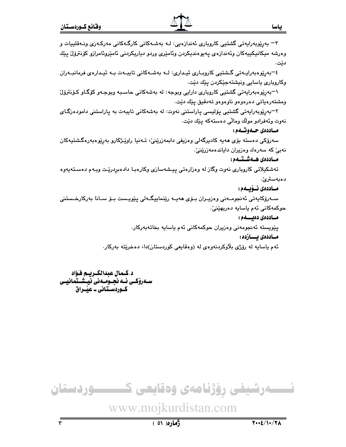۳– بەرێوبەراپەتى گشتيى كاروپارى ئەندازەيى: لـﻪ بەشـﻪكانى كارگـﻪكانى مەركـﻪزى ونـﻪقلييات و وەرشە مىكانىكىيەكان وئەندازەي يەيوەندىكردن وئامێرى وردو دياريكردنى ئامێروئامرازو كۆنترۆل يێك دێت.

٤–بەرێوەبەرايـەتى گـشتيى كاروبـارى ئيـدارى: لــە بەشــەكانى تايبــەت بــە ئيـدارەى فرمانبــەران وكاروباري ياسايي ونيشتهجێكردن يێك دێت.

۱–بەرێوەبەرايەتى گشتيى كاروبارى دارايى وبوجە: لە بەشەكانى حاسىبە وبوجـەو كۆگـاو كۆنترۆل ومشتەرەپاتى دەرەوەو ناوەوەو تەدقىق يێك دێت.

۲–بەرپوبەرايەتى گشتيى يۆليسى ياراستنى نەوت: لە بەشەكانى تايبەت بە ياراستنى دامودەزگـاي نەوت وئەفرادو مولك ومالّى دەستەكە يێك دێت.

#### مـاددەي جـەوتـەم:

سەرۆكى دەستە بۆي ھەيە كادىرگەلى وەزىفى دابمەزرينى، تـەنيا راويىژكارو بەريوەبەرەگشتيەكان نەبىؒ كە سەرەك وەزيران داياندەمەزرێنێ.

#### مـاددەي ھـەشـتـەم:

تەشكيلاتى كاروبارى نەوت وگاز لە وەزارەتى پيشەسازى وكارەبـا دادەبردرێت وبـەم دەسـتەپەوە دەبەسترىٰ.

#### مــاددەى ئــۆيــەم:

سـﻪرۆكايەتى ئەنجومـﻪنى وەزيـﺮان بـۆي ھەيـﻪ رێنماييگـﻪلى يێويـست بـۆ سـانا بەركارخـستنى حوكمەكانى ئەم ياسايە دەريھێنىٚ.

مساددەى دەئسسەم :

يٽويسته ئەنجومەنى وەزيران حوكمەكانى ئەم ياسايە بخاتەبەركار. مـاددەى يـــازدە:

ئهم ياسايه له رۆژي بلاوكردنهوهي له (وهقايعي كوردستان)دا، دهخريته بەركار.

د.كـمال عبدالكـريـم فـؤاد سـەرۆكــى ئــە نجــومــەنى نيــشــتمـانيــى كــوردســتـانى ــ علّــراق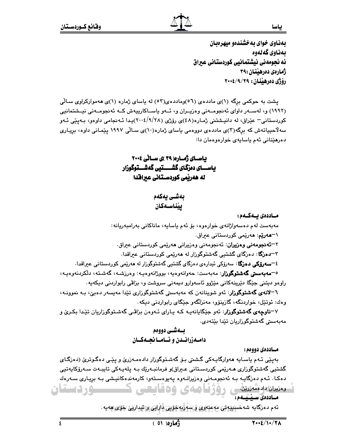بهذاوی خوای به خشندهو میهرهبان ىمناوى گەنەوە ئه نحومەنى نېشتمانيى كوردستاني عبراق ژمارەي دەرھىنان :٣٩ رۆژى دەرھىنان : ٢٩/٩/٢٩

یشت به حوکمی برگه (۱)ی ماددهی (۵٦)وماددهی(۵۲) له باسای ژماره (۱)ی ههموارکراوی سـالّی (۱۹۹۲) و، لهسـهر داوای ئهنجومـهنی وهزیـران و، ئـهو یاسـاکارپیهش کـه ئهنجومـهنی نیـشتمانیی کوردستانی- عێراق، له دانیشتنی ژماره(٤٨)ی رۆژی (٢٠٠٤/٩/٢٨)یدا ئـهنجامی داوهو، بـهیپی ئـهو سهلاحیپاتهش که برگه(۳)ی ماددهی دووهمی یاسای ژماره(۱۰)ی سـالّی ۱۹۹۷ پیّمـانی داوه، بریـاری دەرھێنانى ئەم ياسايەي خوارەوەمان دا:

باسای ژماره( ۳۹ )ی سالی ۲۰۰٤ باســـای دەزگـای گشـــــتیی گەشـــتوگوزار له هەربمى كوردسـتانى عىراقدا

ىەشـى يەكەم ييناسهكان

مــاددەى بــەكــەم :

مەبەست لەم دەسەولژانەي خوارەوە، بۆ ئەم ياسايە، ماناكانى بەرامبەريانە: \**'''هەرێم**: ھەرێمى كوردستانى عبراق.

۲**–ئەنجومەنى وەزيران**: ئەنجومەنى وەزيرانى ھەرپمى كوردستانى ع<del>ى</del>راق.

۳–**دەزگا**: دەزگاي گشتيي گەشتوگوزار لە ھەرپمى كوردستانى عىراقدا.

٤<mark>–سەرۆكى، دەزگا</mark>: سەرۆكى ئېدارەي دەزگاي گشتېي گەشتوگوزار لە ھەرپمى كوردستانى ع<del>ى</del>راقدا.

<sup>ە—</sup>م**ەبەستى گەشتوگوزار**: مەبەست: چەوانەوەيە، بووژانەوەيـە: وەرزشـە، گەشـتە، دلكردىنەوەيـە، راوەو دېتنى جێگا دێرینەكانى مێژوو ئاسەوارو دیمەنى سروشت و، بزاڤى رابواردنى دېكەيە .

٦**–لانهی گهشتوگوزار**: ئهو شوینانهن که مهبهستی گهشتوگوزاری تێدا مهیِسهر دهبیّ، بـه نموونـه، وهك: ئوتێل، خواردنگه، گازینۆو، مەنزلگەو جێگای رابواردنی دیکه.

۷**–ناوچهی گهشتوگوزار**: ئهو جێگایانهیه کـه یـارای ئـهوهن بزاڤـی گهشـتوگوزاریان تێدا بکـریّ و مەبەستى گەشتوگوزاريان تێدا بێتەدى.

#### بـدشـي دووهم دامـهزرانــدن و ئــامــا نجــهكــان

مــاددەي دووەم :

بەيێى ئـﻪم ياسـايە ھەوارگايـﻪكى گـﺸﯩﺘﻰ ﺑـﯚ ﮔﻪﺷـﺘﻮﮔﻮﺯﺍﺭ ﺩﺍﺩﻩﻣـﻪﺯﺭﻯ٘ ﻭ ﻳﻴّﯩﻲ ﺩﻩﮔـﻮﺗﺮﻯٚ (ﺩﻩﺯﮔـﺎﻱ گشتیی گەشتوگوزاری مـەرێمی کوردسـتانی عـیراق)و فرمانبـەرێك بـە پـلەپـەکی تايبـەت سـەرۆکايەتيى دهکا. ئـهم دهزگايـه بـه ئهنجومـهني وهزيرانـهوه يـهيوهسـتهو، کارمهندهکانيـشي بـه بريـاري سـهرهك مديران وادمقه ريزين والأفسا وصادى وحقابيهي <u>سور دستان</u> مساددەى سىيىسلەم:

ئەم دەرگايە شەخسىيەتى مەعنەرى ۋ سەربەخۆيى دارايى و ئېدارىي چۆى ھەيە .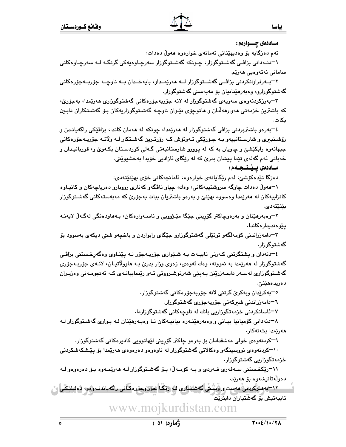مــاددەى چـــوارەم :

ئەم دەزگايە بۆ وەدىھێنانى ئەمانەي خوارەوە ھەولْ دەدات:

۱–دنـﻪدانی بزاڤـی گەشـتوگوزار، چـونکە گەشـتوگوزار سەرچـاوەيەکی گرنگـﻪ ﻟـﻪ ﺳﻪﺭﭼـﺎﻭﻩﮐﺎﻧﻰ سامانى نەتەرەپى ھەرێم.

۲–بــهرفراوانکردنی بزاڤــی گهشــتوگوزار لــه ههرێمـداو، بايهخــدان بــه ناوچــه جۆربــهجۆرەکانی گەشتوگوزارو، وەبەرھێنانيان بۆ مەبەستى گەشتوگوزار.

۳–بەرزکردنەوەي سەويەي گەشتوگوزار لە لانە جۆربەجۆرەكانى گەشتوگوزارى ھەرێمدا، بەجۆرێ، که باشترین خزمهتی مهوارمهلّدان و ماتوچۆی نێوان ناوچـه گهشـتوگوزاریهکان بـۆ گهشـتکاران دابـین ىكات.

٤–بەرەو باشتربردنى بزاڤي گەشتوگوزار لە ھەرێمدا، چونكە لە ھەمان كاتدا، بزاڤێكى راگەيانـدن و رۆشـنبېری و شارسـتانيپەو بـه جـۆرێکی ئـهوتۆش کـه زۆرتـرین گەشـتکار لـه ولاتـه جۆربـهجۆرەکانی جیهانهوه رابکێشێ و چاویان به که له پوورو شارستانیهتی گـهلی کوردسـتان بکـهوێ و، قوربانیـدان و خەباتى ئەم گەلەي تێدا پېشان بدرێ كە لە رێگاي ئازادىي خۆپدا بەخشىوێتى.

#### مـاددەى يـێـنـجـەم:

دەزگا تێدەكۆشى، لەم رێگايانەي خوارەوە، ئامانچەكانى خۆي بهێنێتەدى:

۱–هەوڵ دەدات چاوگە سروشتپپەكانى، وەك، چياو تاڤگەو كەنارى رووبارو دەرياچەكان و كانپـاوە کانزاییهکان له ههریمدا وهسوود بهیننی و بهرهو باشتریان ببات بهجوّریّ که مهبهستهکانی گهشـتوگوزار بێنێتەدى.

۲–وهېهرهێنان و بهرهوچاکتر گۆرینی جێگا مێـژوويی و ئاسـهوارهکان، بـههاودهنگی لهگـهڵ لایهنـه يێۣۅەندىدارەكاندا٠

۳–دامەزراندنى كۆمەلگەو ئوتێلى گەشتوگوزارو جێگاى رابواردن و باخچەو شىتى دىكەى بەسوود بۆ گەشتوگورار.

٤–دنهدان و پشتگرتنی کـهرتی تایبـهت بـه شـێوازی جۆربـهجۆر لـه پێنـاوی وهگهرخـستنی بزاڤـی گەشتوگوزار له هەرێمدا به نموونه، وەك ئەوەي، زەوى وزار بدرێ بـه هاوولاتيـان، لانـەي جۆربـەجۆرى گەشـتوگوزاری لەسـەر دابمـەزرێنن بـەيێی شەرتوشـرووتی ئـەو رێنماييانـەی كـە ئەنجومـەنی وەزيـران دەريدەھێنێ٠

<sup>ہ—</sup>پەكرێدان وپەكرێ گرتنى لانە جۆرپەچۆرەكانى گەشتوگورار.

٦−دامەزراندنى شىركەتى جۆربەجۆرى گەشتوگوزار.

۷–ئاسانکردنی خزمەتگوزاریی بانك لە ناوچەكانی گەشتوگوزاردا.

۸–دنهدانی کۆمیانیا بیـانی و وهبهرهێنـهره بیانیـهکان تـا وهبـهرهێنان لـه بـواری گهشـتوگوزار لـه ھەرێمدا بخەنەكار.

۹–کردنەوەی خولی مەشقدادان بۆ بەرەو چاکتر گۆرپنی لێهاتوویی کادبرەکانی گەشتوگوزار.

۱۰–کردنهوهی نووسینگهو وهکالاتی گهشتوگوزار له ناوهوهو دهرهوهی ههرێمدا بۆ پێشکهشکردنی خزمەتگوزارىي گەشتوگوزار.

۱۱–رێِکخـستنی سـﻪفەری فـﻪردی و بـﻪ کۆمـﻪڵ، بـۆ گەشـتوگوزار لـﻪ ﻫﻪرێمـﻪوه بـۆ دەرەوەو لـﻪ دەولەتانيشەوە بۆ ھەرپە.

۱۲–بەمىرگىردنى مەست راۋىشىنى گەشىتيارى كە ر<u>ى</u>ڭا جۆرارجۆرەكانى راگەياندنـەرەر، دەليلىڭـى تايبەتىش بۆ گەشتياران دابئرێت.

> www.moikur stan.com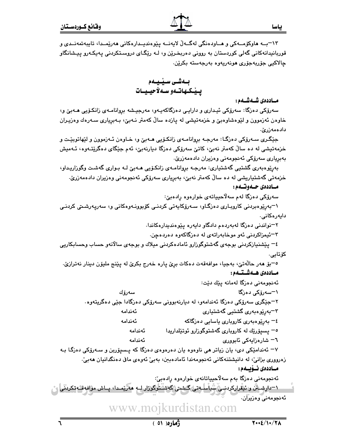مـاددەي شـەشـەم :

سەرۆكى دەزگا: سەرۆكى ئېـدارى و دارايـى دەزگاكەيـەو، مەرجيـشە بږوانامـەى زانكـۆيى ھـەبـێ و، خاوهن ئەزموون و لێوەشاوەبێ و خزمەتپشى لە پازدە ساڵ كەمتر نـەبێ، بـەبريارى سـەرەك وەزيـران دادەمەزرىّ.

جێگری سـهرۆکی دهزگـا: مهرجـه بږوانامـهی زانکـۆیی هـهبێ و، خـاوهن ئـهزموون و لێهاتوبێـت و خزمەتيشى لە دە سالٌ كەمتر نەبىؒ، كاتىؒ سەرۆكى دەزگا ديارنەبیؒ، ئەم جێگاى دەگرێتـەوە، ئـەميش بەبريارى سەرۆكى ئەنجومەنى وەزيران دادەمەزرىّ.

بەرێوەبەرى گشتيى گەشتيارى: مەرجـە بروانامـەي زانكـۆيى ھـەبـێ لـە بـوارى گەشـت وگوزاريـداو، خزمەتى گەشتياريشى لە دە سالٌ كەمتر نەبىؒ، بەبريارى سەرۆكى ئەنجومەنى وەزيران دادەمەزرىؒ.

مـاددەي جـەوتــەم:

سەرۆكى دەزگا لەم سەلاّحيياتەي خوارەوە رادەبىؒ:

۱–بەرێوەبردنى كاروبـارى دەزگـاو، سـەرۆكايەتى كردنـى كۆبوونـەوەكانى و، سەريەرشىتى كردنـى دايەرەكانى.

۲–نواندنی دەزگا لەبەردەم دادگاو دايەرە يێوەندىدارەكاندا.

۳–ئیمزاکردنی ئەو موخابەراتەی لە دەزگاکەوە دەردەجن.

٤– يێشنيازکردنی بوجهی گهشتوگوزارو ئامادهکردنی میلاك و بوجهی سالانهو حساب وحسابکاریی كۆتايى.

٥–بۆ ھەر حالّەتىؒ، بەجيا، موافەقەت دەكات برِيِّ پارە خەرج بكريِّ لە پێنج مليۆن دينار نەترازيّ. مـاددەى ھــەشــتــەم :

سەرۆك

ئەنجومەنى دەزگا لەمانە يێك دێت:

\−سەرۆكى دەزگا

۲–جٽگري سەرۆكى دەزگا ئەندامەو، لە دېارنەبوونى سەرۆكى دەزگادا جٽي دەگريتەوە.

۳–بەرێوەبەرى گشتيى گەشتيارى ئەندامە

٤– بەرێوەبەرى كاروپارى ياسايى دەزگاكە ئەندامە

ه− پسیۆرێك له كاروباری گەشتوگوزارو ئوتێلداریدا ئەندامە ئەندامە

٦– شارەزايەكى ئابو<u>ورى</u>

۷– ئەندامێکی دی، یان زیاتر هی ناوەوە یان دەرەوەی دەزگا کە پىسپۆربن و سـەرۆکی دەزگـا بـە زەروورى بزانى، لە دانيشتنەكانى ئەنجومەندا ئامادەبىن، بەبى ئەوەي ماڧى دەنگدانيان ھەبى،

مـاددەى نــۆيــەم:

ئەنجومەنى دەزگا بەم سەلاّحيياتانەي خوارەوە رادەبىّ: \'=دارشىش و ئىقراركردىنى شياسلىەتى گىشى*ت*ى گەشىتۈگۈزار لــە مەرىمـدا، پــاش مواقەقــُەتكرىنى ا ئەنجومەنى وەزيران.

stan.com www.moikur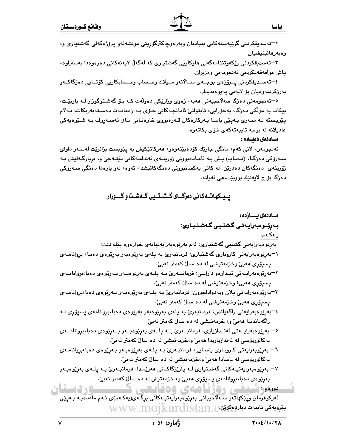۳–تەسدېقكردنى رێكەوتننامەگەلى ھاوكاريى گەشتيارى كە لەگەلْ لايەنەكانى دەرەوەدا بەستراوە، ياش موافەقەتكردنى ئەنجومەنى وەزيران.

٤–تەسـدېقكردنى پـىرۆژەي بوجـەي سـالانەو مـيلاك وحـساب وحـسابكاريى كۆتـايى دەزگاكــەو بەرزكردنەوەيان بۆ لايەنى يەيوەنديدار.

<sup>0–</sup>ئەنجومەنى دەزگا سەلاّحييەتى ھەيە، زەوى وزارێِكى دەولّەت كـە بـۆ گەشىتوگوزار لـە باربێت، بیکات به مولّکی دەزگا، بەخۆرايی، تابتوانیّ ئامانجـەکانی خـۆی بـه زەمانـەت دەسـتەبەربکات، بـەلاّم پێوپسته لـه سـهري بـهيێي پاسـا بـهرکارهکان قـهرهبووي خاوهنـاني مـاڧى تهسـهروف بـه شـێوهپهکي عادیلانه له بوجه تایبهتهکهی خوّی بکاتهوه.

#### مساددەى دەئسەم :

ئەنجومەن، لانى كەم، مانگى جارێك كۆدەبێتەوەو، ھەركاتێكيش بە پێويست بزانرێت لەسـەر داواي سـەرۆكى دەزگـا، (نـصاب) يـش بـە ئامـادەبوونى زۆرينــەي ئەندامـەكانى دێتـەجىٚ و، بريارگـەليش بـە زۆرينەي دەنگەكان دەدرێن. لە كاتى پەكسانبوونى دەنگەكانپشدا، ئەوە، لەو بارەدا دەنگى سەرۆكى دەزگا بۆ چ لايەنىيك بووبىيت،ھى ئەوانە.

## بسپّکهاتـهکانی دهزگـای گـشـتـیی گـهشـت و گـــوزار

مــاددەى يــــازدە :

## بەرێوەبەراپەتى گشتىى گەشتيارى:

#### يەكەم:

بەرێوەبەرايەتى گشتيى گەشتيارى، لەم بەرێوەبەرايەتيانەي خوارەوە يێك دێت: ۱–بەرێوەبەرايەتى كاروبارى گەشتيارى: فرمانبەرىٰ بە پلەى بەرێوەبەر بەرێوەى دەبـا، بروانامـەى پسپۆرى ھەبى وخزمەتپشى لە دە سال كەمتر نەبى .

٢–بەرێوەبەراپـەتى ئېـدارەو دارايـى: فرمانبــەرێ بــە پلــەي بەرێوەبـەر بــەرێوەي دەبا،بروانامــەي پسپۆر*ى* ھەبى، وخزمەتيشى لە دە سال كەمتر نەبى،

- ٣–بەرێوەبەرايەتى پلان وبەدواداچوون: فرمانبەرێ بـﻪ پلـﻪي بەرێوەبـﻪر بـﻪرێوەي دەبا،بروانامـﻪي يسيۆرى ھەبى وخزمەتيشى لە دە سال كەمتر نەبى،
- ٤–بەرێوەبەرايەتى راگەياندن: فرمانبەرێ بە يلەي بەرێوەبەر بەرێوەي دەبا،بروانامەي يسيۆرى لـﻪ راگەياندندا ھەبىؒ و، خزمەتيشى لە دە سالؒ كەمتر نەبىؒ.
- ٥– بەرێوەبەرايــەتى ئەنــدازيارى: فرمانبــەرێ بــە پلــەى بەرێوەبــەر بــەرێوەى دەبا،بروانامــەى بەكالۆريۆسى لە ئەندازياريدا ھەبىؒ و،خزمەتيشى لە دە سالؒ كەمتر نەبىؒ.
- ٦– بەرێوبەراپەتى كاروبـارى ياسـايى: فرمانبـەرێ بـە يـلـەي بەرێوەبـەر بـەرێوەي دەبا،بروانامـەي بەكالۆرپۆسى لە ياسادا ھەبىؒ و،خزمەتپشى لە دە سالؒ كەمتر نەبىؒ.
- ۲– بەرێوەبەراپەتپـەكانى گەشـتيارى لـە يارێزگاكـانى ھەرێمـدا: فرمانبـەرێ بـە يلـەي بەرێوەبـەر بەرێوەي دەبا،بروانامەي يسىۆرى ھەبى و، خزمەتيش لە دە سال كەمتر نەبى.

۰٫۵ دستان معددانسلیمی روژنامهای وهدایتی ئەركوفرمان وپێكهاتەو سەلاھىياتى بەرێومبەرايەتيـەكانى برگـەى(يەكـەم)ى ئـەم ماددەيـە بـەپێى  $\rm{WWW}.$ M $\rm{WW}$ بێڕۆيەكى تايبەت ديارىمكرێن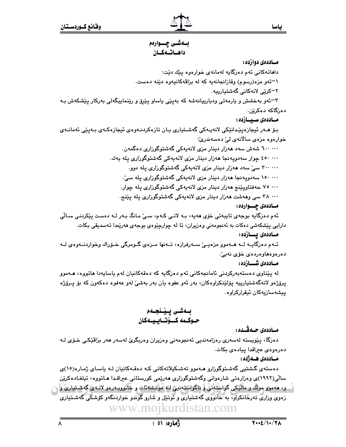## بــهشــی چــــوارهم داهاتهكان

مساددهي دوازده :

داهاتەكانى ئەم دەزگايە لەمانەي خوارەوە يێك دێت:

۱–ئەو مزە(رسوم) وقازانجانەيە كە لە بزاڤەكانيەوە دێنە دەست.

۲–کرێی لانهکانی گهشتیارییه.

۳–ئەو بەخشش و يارمەتى وديارييانەشە كە بەيێى ياساو يێرۆ و رێنماييگەلى بەركار يێشكەش بـە دەزگاكە دەكرێن.

#### مـاددەى سـيــازدە :

بىۆ مـەر ئىجازەيێىدانێكى لانەپـەكى گەشـتيارى پـان تازەكردنـەوەي ئيجازەكـەي بـەيێى ئەمانـەي خوارەوە مزەي سالانەي لىْ دەسەندرىّ:

> ٦٠٠ ۰۰۰ شەش سەد ھەزار دېنار مزى لانەپەكى گەشتوگوزارى دەگمەن. <sup>20</sup>۰۰۰۰ جوار سەدويەنجا ھەزار دېنار مزى لانەيەكى گەشتوگوزارى يلە يەك. ۳۰۰ ۰۰۰ سیّ سهد ههزار دینار مزی لانهیهکی گهشتوگوزاری یله دوو. ۱۵۰ ۰۰۰ سەدويەنجا ھەزار دېنار مزى لانەيەكى گەشتوگوزارى يلە سىّ.

۷۰۰ ۷۰ حەفتاويێنج ھەزار دېنار مزى لانەيەكى گەشتوگوزارى يلە جوار.

... ۳۸ سی وههشت ههزار دینار مزی لانهیهکی گهشتوگوزاری یله یێنج.

#### مــاددەى چـــواردە :

ئەم دەزگايە بوجەي تايبەتى خۆي ھەيە، بـە لانـى كـەم، سـىٰ مـانگ بـەر لـە دەست پێكردنـى سـالّى دارايي پێشکەشی دەکات بە ئەنجومەنی وەزیران، تا لە چوارچێوەی بوجەی ھەرێمدا تەسدىقى بکات.

#### مــاددەى يــــازدە:

ئـهم دهزگايـه لـه هـهموو مزهيــيّ سـهرفرازه، تـهنها مـزهى گـومرگى خــوّراك وخواردنـهوهى لــه دەرەوەھاۋەردەي خۆي نەبىْ.

#### مـاددەى شـــازدە :

له پێناوي دهستهبهرکردنی ئامانجهکانی ئهم دهزگايه که دهقهکانيان لهم ياسايهدا هاتووه، هـهموو پرۆژەو لانەگەشتيارىييە يۆلێنكراوەكان، بەر ئەو عفوه يان بەر بەشىّ لەو عەفوە دەكەون كە بۆ پـرۆژە ىيشەسازىەكان ئىقراركراوە،

## بـەشـى يـێـنجـەم حـوكــمه كـــۆتــابــيــهكان

## مـاددەي جـەڤـدە:

دەزگا، پێویستە لەسەرى رەزامەندىي ئەنجومەنى وەزيران وەربگرێ لەسەر ھەر بزاڤێکى خـۆي لـە دەرەوەي عيراقدا پيادەي بكات.

مــاددەى ھــەژدە :

دەستەي گشتيى گەشـتوگوزارو مـەموو تەشـكيلاتەكانى كـە دەقـەكانيان لـە ياسـاي ژمـارە(١٥)ى سالی(۱۹۹۲)ی وهزارهتی شارهوانی وگهشتوگوزاری هەرپمی کورستانی عیراقـدا هـاتووه، ئیلغـادهکریِّن . و، هەمول مولَّك و مالْيْكى گواسْتَةْتى ۚ وَ ناگواستەنين لـه مُوتشەئات و خَانووبـەرەو لانـەی گەشـتياریؒ و زەوى وزارى تەرخانكراو، بە خانووى گەشتيارى و ئوتتل و شارو گوندو خواردنگەو كۆشكى گەشىتيارى www.mojkurdistan.com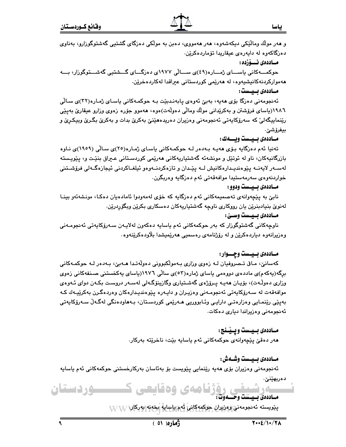و هەر مولّك ومالَّیْکی دیکەشەوە، ھەر ھەمووی، دەبن بە مولّکی دەزگای گشتیی گەشتوگوزارو، بەناوی دەزگاكەوە لە دايەرەي عىقارىدا تۆماردەكرێن.

مـاددەى ئـــۆزدە:

حوکمـــهکانی باســـای ژمـــاره(٤٩)ی ســـالّی ۱۹۷۷ی دهزگـــای گـــشتیی گهشـــتوگوزار، بـــه هەمواركردنەكانيشيەوە، لە ھەرێمى كوردستانى عبراقدا لەكاردەخرێن.

#### مساددەى بسبسست:

ئەنجومەنى دەزگا بۆي ھەيە، بەبىّ ئەوەي يابەندېيّت بـە حوكمـەكانى ياسـاي ژمـارە(٣٢)ى سـالّى ١٩٨٦(پاساي فرۆشتن و بەكرێدانى مولّك ومالّى دەولّەت)ەوە، ھەموو جۆرە زەوي وزارو عيقارێ بەيێى رێنماییگەلیٚ که سەرۆکایەتی ئەنجومەنی وەزیران دەریدەھێنێ بەکرێ بدات و بەکرێ بگـرێ وبیکـرێ و بيفرۆشىؒ.

#### مــاددەي بــيــست وبـــــەك :

تەنيا ئەم دەزگايە بۆي ھەيـە بـەدەر لـە حوكمـەكانى ياسـاي ژمـارە(٢٥)ى سـالّى (١٩٥٩)ى نـاوە بازرگانيەكان، ناو لە ئوتێل و مونشەئە گەشتياريەكانى ھەرێمى كوردسىتانى عـبراق بنێت و، يێويـستە لەسـەر لايەنــە يێوەندىيـدارەكانيش لــە يێـدان و تازەكردنــەوەو ئيلغــاكردنى ئيجازەگــەلى فرۆشــتنى خواردنەوەي سەرمەستيدا موافەقەتى ئەم دەزگايە وەربگرن.

#### مساددهى بسيست ودوو :

نابيّ به پێچەوانەي تەصميمەكانى ئەم دەزگايە كە خۆى لەمەودوا ئامادەيان دەكا، مونشەئەو بينا لەنوێ بنيادبنرێن يان رووكارى ناوچە گەشتياريەكان دەسكارى بكرێن وېگۆردرێن.

#### مـاددەى بـيـست وسـێ:

ناوچەكانى گەشتوگوزار كە بەر حوكمەكانى ئەم ياسايە دەكەون لەلايـەن سـەرۆكايەتى ئەنجومـەنى وەزيرانەوە دىياردەكرێن و لە رۆژنامەي رەسمىيى ھەرێمىشدا بلاودەكرێنەوە.

#### مـاددهى بـيـست وچـــوار:

کەسانىؒ، مـاڧى تــصروفيان لــه زەوى وزارى بــهمولکبوونى دەولّەتـدا ھــەبىؒ، بــەدەر لــه حوکمــەکانى برگە(بەكەم)ى ماددەي دورەمى باساي ژمارە(٥٣)ى سالى ١٩٧٦(باساي بەكخستنى صىنفەكانى زەوي وزاری دەوڵەت)، بۆيـان ھەيـە يـرۆژەي گەشـتيارى وگازينۆگـەلى لەسـەر دروست بكـەن دواي ئـەوەي موافهقهت له سـهرۆکاپەتى ئەنجومـەنى وەزيـران و دايـەرە يـێوەنديـدارەکان وەردەگـرن بەکرێيـەك كـه بەيێى رێنمـايي وەزارەتـي دارايـي وئـابووريي ھـەرێمى كوردسـتان، بـەھاودەنگى لەگـەڵ سـەرۆكايەتى ئەنجومەنى وەزيراندا ديارى دەكات.

#### مـاددەى بـيـست وپـيْــنج:

هەر دەقىّ يێچەوانەي حوكمەكانى ئەم ياسايە بێت، ناخرێتە بەركار.

#### مـاددەي بـيـست وشـەش :

ئەنجومەنى وەزيران بۆى ھەيە رێنمايى پێويست بۆ بەئاسان بەركارخستنى حوكمەكانى ئەم ياسايە دەربھێنێ٠

## شیفی روژنامەی وەقايعی ک مساددهي بسيست وحسموت:

پێویسته ئەنجومەنى وەز*یران* جوكمەكانى ئەم ياسايە بخەنە بەركار، W W

<u>ے ردستان</u>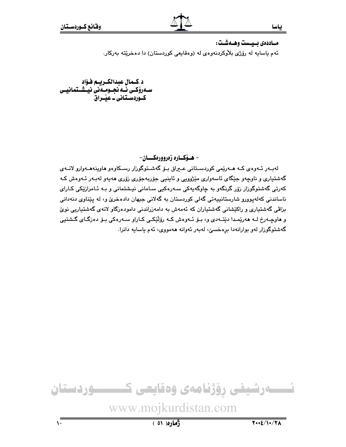مـاددەى بـيـست وهــەشـت:

ئهم ياسايه له رۆژى بلاوكردنهوەي له (وەقايعى كوردستان) دا دەخريته بەركار.

د.كـمال عبدالكـريـم فـؤاد سـهروٰکـی ئــه نجــومــهنی نیــشــتمـانیــی كـوردسـتـانى ـ عَيْــراق

– هـۆكــاره زەروورەكـــان-

لەبـەر ئـەوەي كـە ھـەرێمى كوردسـتانى عـيراق بـۆ گەشـتوگوزار رسـكاوەو ھاوپنەھـەوارو لانـەي گەشتيارى و ناوچەو جێگاى ئاسەوارى مێژوويى و ئاينيى جۆربەجۆرى زۆرى ھەيەو لەبـەر ئـەوەش كـە کەرتى گەشتوگوزار زۆر گرنگەو بە چاوگەپەکى سـەرەکپى سـامانى نيـشتمانى و بـە ئـامرازێکى کـارا*ى* ناساندني کهلهپوورو شارستانيپهتي گهلي کوردستان به گهلاني جيهان دادهخريّ و، له پێناوي دنهداني بزاڨي گەشتياري و راكێشاني گەشتياران كە ئەمەش بە دامەزراندنى دامودەزگاو لانەي گەشتياريى نوێ و هاوچـهرخ لــه هەرێمـدا دێتــهدي و، بـۆ ئــهوهش كــه رۆڵێكــی كــاراو ســهرەكی بـۆ دەزگــای گــشتيی گەشتوگوزار لەو بوارانەدا برەخسىؒ، لەبەر ئەوانە ھەمووى، ئەم ياسايە دانرا.

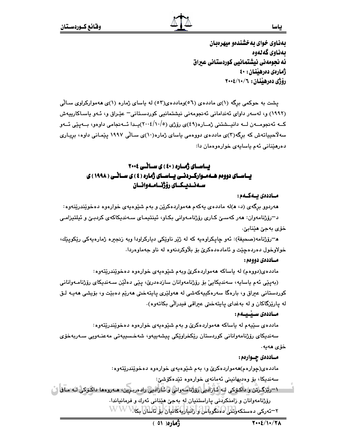ياسا

بهذاوى خواي به خشندهو ميهرهبان ىمناوى گەنەوە ئه نحومهني نيشتمانيي كوردستاني عبراق ژمارەي دەرھێنان: ٤٠ رۆژى دەرھىنان: ١٠/١٠/٦>٠٠٤

یشت به حوکمی برگه (۱)ی ماددهی (۵٦)وماددهی(۵۲) له یاسای ژماره (۱)ی ههموارکراوی سـالّی (۱۹۹۲) و، لهسهر داوای ئهندامانی ئهنجومهنی نیشتمانیی کوردستانی- عیّـراق و، ئـهو یاسـاکارییهش کــه ئەنجومــەن لــه دانيــشتني ژمــارە(٤٩)ي رۆژي (١٠/٥/٥)-يــدا ئــەنجامي داوەو، بــەيێي ئــەو سه لاحیپاتهش که برگه(۳)ی ماددهی دووهمی یاسای ژماره(۱۰)ی سـالّی ۱۹۹۷ پیّمـانی داوه، بریـاری دەرھێنانى ئەم ياسايەي خوارەوەمان دا:

## بساسای ژماره ( ٤٠ ) ی ساٽي ٢٠٠٤ یساسسای دوومہ هسه سوارک ردنسی پساسسای ژماره (٤) ی سسائسی ( ۱۹۹۸) ی سـەنــدیــكــای رۆژنـــامــەوانــان

مــاددەي بــەكــەم:

ههردوو برگهي (د، ه)له ماددهي پهکهم ههمواردهکرێن و بهم شێوهپهي خوارهوه دهخوێندرێنهوه: د¬رۆژنامەوان: ھەر كەسىيّ كـارى رۆژنامـەوانى بكـاو، ئينتيمـاي سـەندىكاكەي كردېـێ و ئيلتيزامـي خۆي بەجىٰ ھێنابىٰ ِ

هـ-رۆژنامه(صحيفة): ئەو چاپكراوەيە كە لە ژێر ناوێكى دپاركراودا ويە زىجىرە ژمارەيەكى رێكوپێك، خولاوخول دەردەچێت و ئامادەدەكرێ بۆ بلاوكردنەوە لە ناو جەماوەردا.

مــاددەي دووەم :

مادده،ی(دووهم) له یاساکه ههمواردهکری وبهم شنوهیهی خوارهوه دهخویندریتهوه:

(بەيێى ئەم ياسايە، سەندىكايىٚ بۆ رۆژنامەوانان سازدەدرىٚ، يێى دەڵێن سـەندىكاي رۆژنامـەوانانى کوردستانی عیراق و، بارهگا سەرەکییەکەشی لە ھەولێری پایتەختی ھەرێم دەبێت و، بۆیشی ھەپـە لـق له پارێزگاکان و له بهغدای پایتهختی عبراقی فیدرالّی بکاتهوه).

مساددەى سىنسىسەم :

ماددهی سێپهم له پاساکه ههمواردهکرێ و بهم شێوهپهی خوارهوه دهخوێندرێتهوه: سەندىكاي رۆژنامەوانانى كوردستان رێكخراوێكى پيشەپپەو، شەخسىپپەتى مەعنـەويى سـەربەخۆي

خۆى ھەيە.

مــاددەى چــوارەم :

مادده ی(چوارهم)ههمواردهکرێ و، بهم شێوهیهی خوارهوه دهخوێندرێتهوه:

سەندىكا، بۆ وەدىھانينى ئەمانەي خوارەوە تێدەكۆشى:

١-ريّزكرتن و داكوكي كِ كَاراديي روّرْنامكواني و كاراديي راده ربرين، مـه روهما داكوكي كه مـاق ٢ رۆژنامەوانان و زامنكردنى پاراستنيان له بەجىّ ھێنانى ئەرك و فرمانياندا. ٢-ئەركى دەستكەرلىلى لاەتكەبالىلى رائىيارلىكانيان لىلى ئاسالىكى WWW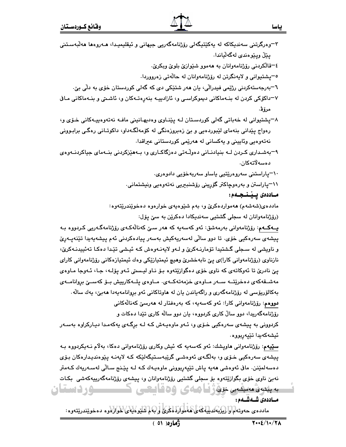| ۳–وەرگرتنى سەندىكاكە لە بەكێتىگەلى رۆژنامەگەرىي جىھانى و ئىقلىمىدا، ھـەروەھا ھەلّبەسـتنى           |
|----------------------------------------------------------------------------------------------------|
| پێڵ وپێوهندی لهگهڵیاندا.                                                                           |
| ٤–قالکردنبي رۆژنامەوانان بە ھەموو شىيوازى بلوى وبكرىن.                                             |
| °=پشتيواني و لايەنگرتن له رۆژنامەوانان له حالّەتى زەرووردا.                                        |
| ٦–بەرجەستەكردنى رژێمى فيدراڵى، يان ھەر شتێكى دى كە گەلى كوردستان خۆى بە دڵى بێ٠                    |
| ۷–داکۆکی کردن له بنــهماکانی دیموکراسـی و، ئازادییـه بنهڕهتــهکان و، ئاشـتی و بنــهماکانی مــافی   |
| مرۆۋ.                                                                                              |
| ۸–پشتیوانی له خهباتی گهلی کوردستان لـه پێنـاوی وهدیهـانینی مافـه نهتهوهییـهکانی خـوّی و،           |
| رهواج پێدانی بنهمای لێبوردهیی و بێ زهبروزهنگی له کۆمهڵگـهداو، داکوتـانی رهگـی برابـوونی            |
| نەتەوەيى وئايينى و يەكسانى لە ھەرێمى كوردستانى عىراقدا.                                            |
| ۹–بەشىدارى كىردن لــه بنيادنــانى دەوڵـەتى دەزگاكــارى و، بــەھێزكردنى بنــەماى جياكردنــەوەى      |
| دەسەلاتەكان.                                                                                       |
| ٦٠–پاراستنى سەروەرێتيى ياساو سەربەخۆيى دادوەرى٠                                                    |
| \۱–پاراستن و بەرەوچاكتر گۆرپنى رۆشنب <del>ى</del> رىى نەتەوەيى ونيشتمانى.                          |
| مـاددەى پـێــنــجــەم:                                                                             |
| مادده،ی(شهشهم) ههمواردهکرێ و، بهم شێوهیهی خوارهوه دهخوێندرێتهوه:                                   |
| (رۆژنامەوانان لە سجلى گشتيى سەندىكادا دەكرێن بە سێ پۆل:                                            |
| <b>ڀ٤گ٤م</b> : رۆژنامەوانى بەرمەشق: ئەو كەسەيە كە ھەر سىێ كەنالەكـەى رۆژنامەگـەريى كـردووە بـە     |
| پيشەي سەرەكيى خۆي. تا دوو سالّى لەسەريەكيش بەسەر پيادەكردنى ئەم پيشەيەيدا تێنەپـەرِێ               |
| و ناویشی له سـجلی گـشتیدا تۆمارنــهکرێ و لــهو لایهنــهوهش کــه ئیـشی تێـدا دهکـا تـهئییدنـهکرێ،   |
| نازناوي (رۆژنامەوانى كارا)ى پێ نابەخشرێ وھیچ ئیمتیازێکى وەك ئیمتیازەكانى رۆژنامەوانى كاراي         |
| پێ نادرێ تا ئەوكاتەی كە ناوی خۆی دەگوازێتەوە بۆ نـاو ليـستى ئـەو پۆلـە، جـا، ئـەوجا مـاوەی         |
| مەشىقەكەي دەخرێتــە ســەر مــاوەي خزمەتەكــەي. مــاوەي پـلــەكارىيش بــۆ كەســێ بروانامــەي        |
| بەكالۆريۆسى لە رۆژنامەگەرى و راگەياندن يان لە ھاوتاكانى ئەو بروانامەيەدا ھەبىّ، يەك سالّە.         |
| <b>دوو</b> هم: رۆژنامەوانى كارا: ئەو كەسەپە، كە بەرەڧتار لە ھەرسىّ كەنالەكانى                      |
| رۆژنامەگەریدا، دوو سالٌ کاری کردووه، یان دوو سالٌه کاری تێدا دەکات و                               |
| کردوونی به پیشهی سهرهکیی خـوّی و، ئـهو ماوهیـهش کـه لـه برِگـهی یهکهمـدا دیـارکراوه بهسـهر         |
| ئيشەكەيدا تێپەربووە.                                                                               |
| <b>سٽييهم</b> : رۆژنامەوانى ھاوپشك: ئەو كەسەيە كە ئىش وكارى رۆژنامەوانى دەكا، بەلام نـەيكردووە بـە |
| پیشەی سەرەكیى خىۆى و، بەلگەى ئەوەشىي گرێبەسىتىگەلێكە كـە لايەنـە پێوەندىيدارەكان بىۆى              |
| دەسەلمێنن. ماڧى ئەرەشى ھەيە پاش تێپەربورنى مارەيـەك كـە لـە پێـنج سـاڵى لەسـەريەك كـەمتر           |
| نهبيّ ناوي خوّي بگوازێتهوه بوّ سجلي گشتيي روّژنامهوانان و، پيشهي روّژنامهگهرييهکهشي  بکـات         |
| بىيسى سىسى دوزنامەي وەقايعى كىسىسوردىستان                                                          |
| مساددەى شىمشىمە:                                                                                   |
| ماددەى حەوتەم واليكيەندىيە كەئ ھەمواردا مىرى و بەم شىيو كيەي كىرارلارە دەخويندرىيتەرە:             |

 $\overline{\Lambda}$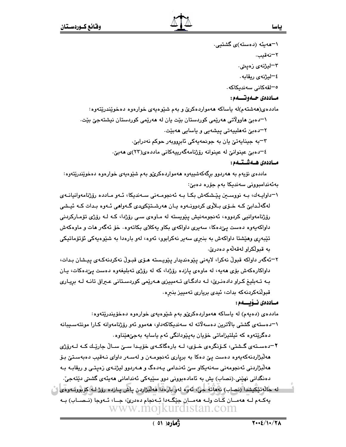\–مەيئە (دەستە)*ى* گشتيى. ٢–نەقيب. ۳–لیژنه*ی* زەيىتى. ٤–ليژنهي ريقابه. ە–لقەكانى سەندىكاكە. مـاددەي جـەوتـــەم: مادده،ی(ههشتهم)له باساکه ههمواردهکری و بهم شنیوهیهی خوارهوه دهخویندریتهوه: ١–دەبێ ھاوولاتى ھەرپمى كوردستان بێت يان لە ھەرپمى كوردستان نيشتەجێ بێت. ٢--دەبىّ ئەھلىيەتى يېشەبى و ياسابى ھەبێت. ٣–به جينايەتىٰ يان به جونحەيەكى ئابرووبەر حوكم نەدرابىٰ. ٤–دەبىؒ عينوانىؒ لە عينوانە رۆژنامەگەرپيەكانى ماددەي(٢٣)ى ھەبێ.

## مـاددەى ھـەشـتـەم:

ماددهی نۆپهم به هەردوو برگەكەشىيەوە ھەمواردەكرێو بەم شێوەپەی خوارەوە دەخوێندرێتەوە: بەئەندامبورنى سەندىكا بەم جۆرە دەبىّ:

- ۱–داوايـهك، بـه نووسـين يێشكهش بكـا بـه ئهنجومـهنى سـهنديكا، ئـهو مـادده رۆژنامهوانيانـهى لهگەلّدابیّ کـه خــۆی بــلاّوی کردوونــهوه یــان هەرشــتێکىدى گــهواهى ئــهوه بـدات کــه ئیــشى رۆژنامەوانيى كردووە، ئەنجومەنيش يێويستە لە مـاوەي سـى رۆژدا، كـە لـە رۆژى تۆمـاركردنى داواکهبهوه دهست یےٌدهکا، سهبری داواکهی بکاو بهکلای بکاتهوه٠ خۆ ئەگەر هات و ماوەکەش تێبەرى وھێشتا داواكەش بە بنبرى سەير نەكرابوو، ئەوە، لەو بارەدا بە شێوەپەكى ئۆتۆماتىكى په قبولکراو لهقهلهم دهدريٰ.
- ۲–ئەگەر داواكە قبولْ نەكرا، لايەنى پێوەندىدار پێويستە ھۆى قبـولْ نەكردنەكـەى پيـشان بـدات، داواکارهکهش بۆی هەيە، له ماوەی يازده رۆژدا، که له رۆژی تەبليغەوه دەست يېدەکات، يان بـه تـهبلیغ کـراو دادهنـریّ، لـه دادگـای تـهمییزی هـهریّمی کوردسـتانی عـبراق تانـه لـه برِیـاری قبوللهکردنهکه بدات، ئیدی بریاری تهمییز بنبره.

#### مـاددەى نــۆيــــەم :

ماددهی (دهیهم) له پاساکه ههمواردهکری و بهم شنوهیهی خوارهوه دهخویندریتهوه: ۱–دەستەي گشتى بالاترين دەسەلاتە لە سەندېكاكەدار، ھەمور ئەر رۆژنامەوانە كـارا مونتەسىيبانە دەگريتەوە كە ئېلتېزاماتى خۆيان بەيێودانگى ئەم ياسايە بەجى٘ھێناوە.

۲–دەسـتەي گـشتى، كـۆنگرەي خـۆي، لــە بارەگاكـەي خۆپـدا ســێ ســالْ جارێـك كـه لــەرۆژى ههلّبژاردنهکهپهوه دهست یئ دهکا به بریاری ئهنجومـهن و لهسـهر داوای نـهقیب دهبهسـتئ بـۆ هەلّىژاردنى ئەنجومەنى سەنەپكاو سىّ ئەنـدامى پـەدەگ و ھـەردوو ليژنـەي زەپتـى و ريقابـە بـە دەنگدانى نھێنى (نصاب) پش بە ئامادەبوونى دوو سێپەكى ئەندامانى ھەپئەي گشتى دێتەجىٚ. اله حالَّه تَيْكَيشدا (نصاب) نهماته جيَّ، تهوه لهو بارددا مه لبزاردن پاش پــازده روِّز لــه كوبوولــهوهي ن يەكـﻪم ﻟـﻪ ﻫﻪﻣـﺎﻥ ﯕـﺎﺕ ﻭﻟـﻪ ﻫﻪﻣــﺎﻥ ﺟﯚﮔـﻪﺩﺍ ﺋِـﻪﻧﺠﺎﻡ ﺩﻩﺩﺭﻯ، ﺟـﺎ، ﺋـﻪﻭﺟﺎ (ﻧـﺼـﺎﺏ) ﺑـﻪ www.mojkurdistan.com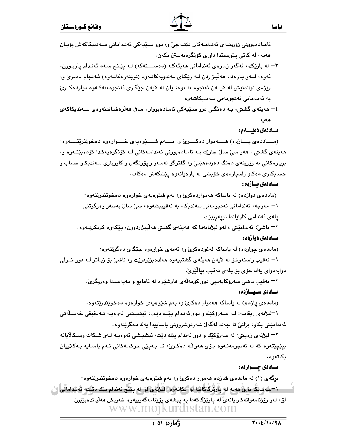- ئەوە، لـــەو بــارەدا، ھەلْبــژاردن لــه رێگــاي مەندوبەكانــەوە (نوێنەرەكانــەوە) ئــەنجام دەدرئ و، رێژەي نواندنيش له لايــهن ئەنجومـهنــهوه، يان له لايهن جێگـرى ئەنجومەنەكـهوه دياردەكــرىّ بە ئەندامانى ئەنجومەنى سەندېكاشەوە.
- ٤– هەيئەي گشتى، بـه دەنگـي دوو سـێيەكى ئامـادەبووان، مـاڧى هەڵوەشـاندنەوەي سـەندېكاكەي هەيە .

#### مساددەى دەيسسەم :

(مسادده ی پسازده) هسه موار دهکسری و، بسهم شسیوه په ی خسوارهوه دهخوینریتسه وه: هەيئەي گشتى ، ھەر سى سال جاريك بـه ئامـادەبوونى ئەندامـەكانى لـە كۆنگرەپەكـدا كۆدەبێتـەوە و، برِيارەكانى بە زۆرىنەى دەنگ دەردەھێنىٚ و، گفتوگۆ لەسەر راپۆرتگەل و كاروبارى سەندىكاو حساب و حسابکاری دهکاو راسپاردهی خویشی له بارهپانهوه پیشکهش دهکات.

#### مــاددەى يــاردە :

(مادده ی دوازده) له پاساکه ههمواردهکریّ و، بهم شیّوهیهی خوارهوه دهخویندریتهوه: ۱– مەرجە، ئەندامانى ئەنجومەنى سەندىكا، بە نەقيبيشەوە، سىّ سالّ بەسەر وەرگرتنى يلەي ئەندامى كاراياندا تێپەريبێت.

٢– ناشيٰ، ئەندامێتى ، لەو ليژنانەدا كە ھەيئەي گشتى ھەلىپژاردوون، يێكەوە كۆپكرێنەوە. مــاددەي دوازدە :

(مادده ی چوارده) له باساکه لهغودهکری و، ئهمهی خوارهوه جێگای دهگرێتهوه:

۱– نەقىب راستەوخۆ لە لايەن ھەيئەي گشتىيەوە ھەلدەبژێردرێت و، ناشىێ بۆ زيـاتر لــه دوو خـولى دوابەدواي يەك خۆي بۆ يلەي نەقيب بيالێوێ.

> ۲– نەقيب ناشى سەرۆكايەتيى دوو كۆمەلەي ماوشێوە لە ئامانج و مەبەستدا وەربگرىّ. مـادەى سـبــازدە:

> (ماددهی پازده) له پاساکه ههموار دهکریّ و، بهم شیّوهیهی خوارهوه دهخویندریتهوه:

۱–ليژنهي ريقابـه: لـه سـهرۆكێك و دوو ئەنـدام يێك دێت، ئيشيـشي ئەوەپـه تــەدقيقى خەسـڵەتى ئەندامێتى بكاو، بزانىؒ تا چەند لەگەلؒ شەرتوشرووتى پاساپيدا پەك دەگرێتەوە٠

٢– ليژنهي زەيىتى: له سەرۆكێك و دوو ئەندام يێك دێت، ئيشيشى ئەوەپـﻪ لـﻪو شـكات وسـكالايانه بيٽِڇٽتەوه که له ئەنجومەنـەوە بـۆي ھەواڵـﻪ دەکـرێ، تـا بـەيێى حوکمـەکانى ئـەم ياسـايە يـەکلاييان بكاتەوە.

#### مـاددی چــوارده :

برِگهی (۱) له ماددهی شازده ههموار دهکریّ و، بهم شنوهیهی خوارهوه دهخوێندرێتهوه: ٦–سەندىكا بۆى ھەيە لە يارتزگاڭاندا لق بكاتەرە. ليژنەي لق لە پێنج ئەندام پێك دێت، ئەندامانى ێ لق، لەر رۆژنامەوانەكارايانەي لە پارێزگاكەدا بە پىشەي رۆژنامەگەرىيەوە خەرىكن مەلىاندەبژێرن. www.mojkurdistan.com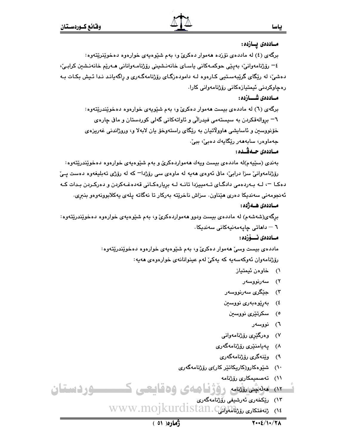مـاددەى يــازدە:

برگهي (٤) له ماددهي نۆزده ههموار دهکريّ و، بهم شێوهيهي خوارهوه دهخوێنرێتهوه: ٤– رۆژنامەوانى، بەيێى حوكمـەكانى ياسـاي خانەنـشينى رۆژنامـەوانانى ھـەرێم خانەنـشين كرابـي، دهشیٔ، له رێِگای گرێِبهسـتیی کـارهوه لـه دامودهزگـای رۆژنامهگـهری و راگهیانـد نـدا ئـیش بکـات بـه رەچاوكردنى ئېمتيازەكانى رۆژنامەوانى كارا.

#### مــاددەى شــــازدە :

برگهي (٦) له ماددهي بيست ههموار دهكريّ و، بهم شَيْويهي خوارهوه دهخويّندريّتهوه: ٦– بروالەقكردن بە سىستەمى فىدرالى و ئاواتەكانى گەلى كوردستان و ماڧ چارەي خۆنووسین و ئاسایشی ماوولاتیان به ریگای راستهوخو یان لابهلا و، وروژاندنی غهریزهی جەماوەر، سابەھەر رێگاپەك دەبىٚ، ببیٚ.

#### مـاددەى جـەقـىدە :

بهندي (سێپهم)له ماددهي بيست ويهك ههمواردهكريّ و بهم شێوهيهي خوارهوه دهخوێندرێتهوه: رۆژنامەوانى سزا درابى، مافى ئەوەي ھەيە لە ماوەي سى رۆژدا<sup>—</sup> كە لە رۆژى تەبلىغەوە دەست يى دهکـا ¬، لـه بـهردهمي دادگـاي تـهمييزدا تانـه لـه بريارهکـاني قهدهغـهکردن و دهرکـردن بـدات کـه ئەنجومەنى سەندىكا دەرى ھێناون. سزاش ناخرێتە بەركار تا نەگاتە يلەي پەكلابوونەوەو بنېرى.

#### مــاددەى ھــەژدە :

برِگهی(شهشهم) له ماددهی بیست ودوو ههمواردهکریّ و، بهم شَیْوهیهی خوارهوه دهخویندریتهوه: ٦ – داھاتى چاپەمەنيەكانى سەندېكا.

## مــاددەى ئـــۆزدە :

ماددهی بیست وسیٰ ههموار دهکریٰ و، بهم شێوهیهی خوارهوه دهخوێندرێتهوه: رۆژنامەوان ئەوكەسەيە كە يەكى لەم عينوانانەي خوارەوەي ھەيە:

- ١) خاوەن ئېمتياز
	- ۲) سەرنوۋسەر
- ۳) جێگری سەرنووسەر
- ٤) بەرێوەبەرى نووسىن
- ٥) سکرتێر*ی* نووسین
	- ٦) نووسەر
- ۷) وەرگىنىيى رۆژنامەوانىي
- ۸) يەيامن<u>ىرى</u> رۆژنامەگەرى
- ۹) وێ**ن**ەگرى رۆژنامەگەرى
- ۱۰) شێوهکارو(کاریِکاتێِر کار)*ی* رۆژنامهگەری
	- ۱۱) تەصمىمكار*ى* رۆژنامە

## <u>سوردستان</u> ۱۲) مەنبخى ئەنئامە رۇۋقا ھەي 15قايىچى ك

١٣) رێِكخەرى ئەرشىفى رۆژنامەگەرى WWW.MOJKurdistan.Calali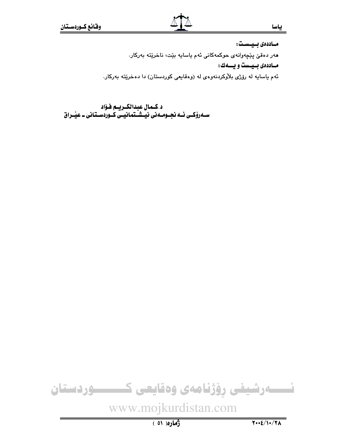مـاددەى بـيـسـت:

هەر دەقىٰ پێچەوانەي حوكمەكانى ئەم ياسايە بێت، ناخرێتە بەركار.

مـاددەى بـيـست و يـــەك:

ئهم ياسايه له رۆژى بلاوكردنهوهى له (وهقايعى كوردستان) دا دهخريته بهركار.

د کـمال عبدالکـریـم فـؤاد سـهروْکـی ئــه نجــومــه نی نیــشــتمـانیــی کــوردســتـانی ــ عیـّــراق

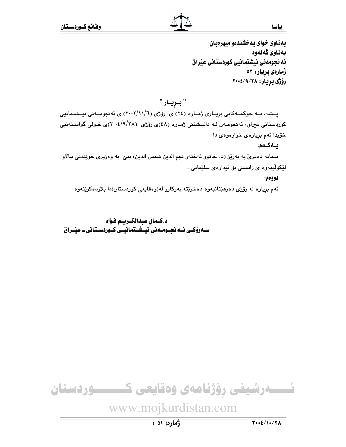بهذاوى خواى به خشندهو ميهرهبان ىمناوى گەنەوە ئه نجومهني نيشتمانيي كوردستاني عيراق ژمارەي بريار: ٥٣ رۆژى بريار: ۲۰۰٤/۹/۲۰۰

" بريــار "

پسشت بــه حوکمــهکانی بریــاری ژمــاره (٢٤) ی رۆژی (٦/١١/٦) ی ئه نجومــهنی نیــشتمانیی کوردستانی عبراق، ئەنجومـەن لـه دانيـشتنی ژمـاره (٤٨)ی رۆژی (٢٠٠٤/٩/٢٨)ی خـولی گواسـتەنيى خۆيدا ئەم بريارەى خوارەوەى دا:

يـەكـەم:

متمانه دهدریؒ به بهرِیٚز (د. خاتوو ئەختەر نجم الدین شمس الدین) ببیؒ به وەزیری خوێندنی بـالاّو لێػۆڵۑنەوە ي زانسىتى بۆ ئىدارەي سلێمانى .

دوومم:

ئهم برياره له رۆژى دەرمێنانيەوە دەخرێتە بەركارو لە(وەقايعى كوردستان)دا بلاودەكرێتەوە.

د.كـمال عبدالكـريـم فـؤاد سـهرؤکـی ئـه نحـومـهنی نیـشـتمانیـی کـوردسـتانی ـ عیّـراق

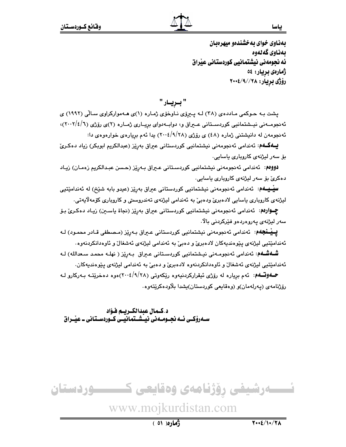ياسا

بهذاوى خواي به خشندهو ميهرهبان ىمناوى گەنەوە ئه نحومهني نيشتمانيي كوردستاني عيراق ژمارەي بريار: ٥٤ رۆژى بريار: ٢٠٠٤/٩//٢٠٠٤

" بىريـار "

یشت به حـوکمی مـادده ی (۳۸) لـه پـیروی نـاوخوّی ژمـاره (۱)ی هـهموارکراوی سـالّی (۱۹۹۲) ی ئهنجومـهنى نيـشتمانيى كوردسـتانى عـيراق و، دوابـهدواى بريـارى ژمـاره (٢)ى رۆژى (٦/١/٢)، ئه نجومهن له دانیشتنی ژماره (٤٨) ی رۆژی (٢٠٠٤/٩/٢٨) یدا ئهم بریارهی خوارهوهی دا:

**یــهکــه**م: ئەندامى ئەنجومەنى نيشتمانيى كوردستانى عيراق بەرێز (عبدالكريم ابوبكر) زياد دەكـرئ بۆ سەر ليژنەي كاروبارى ياسايى.

دوومم: ئەندامى ئەنجومەنى نيشتمانيى كوردستانى عيراق بـەرێز (حسن عبدالكريم زەمـان) زيـاد دەكرىؒ بۆ سەر ليژنەي كاروپارى ياسايى٠

**سیّٰـیــهم**: ئەندامی ئەنجومەنی نیشتمانیی کوردستانی عیراق بەرێز (عیدو بابە شێخ) لە ئەندامێتیی ليژنهي کاروپاري باسايي لادهبريّ ودهبيّ به ئەندامي ليژنهي تەندروستي و کاروپاري کۆمەلايەتي٠

**چــوارەم**: ئەندامى ئەنجومەنى نيشتمانيى كوردستانى عيراق بەرێز (نجاة ياسـين) زيـاد دەكـرىّ بـۆ سەر ليژنەي يەروەردەو فێركردنى بالا.

**یــیْــنجهم**: ئەندامی ئەنجومەنی نیشتمانیی کوردستانی عـیراق بـەرِی٘ز (مـصطفی قـادر محمـود) لـه ئەندامێتيي ليژنەي يێوەنديەكان لادەبرێ و دەبیٚ بە ئەندامى ليژنەي ئەشغالٚ و ئاوەدانكردنەوە .

**شـُـهشـُـه**م: ئەندامى ئەنجومـەنى نيـشتمانيى كوردسـتانى عـيراق بـەرِيٚز ( نهلـه محمـد سـعدالله) لـه ئەندامێتيى ليژنەي ئەشغال و ئاوەدانكردنەوە لادەبرىٰ و دەبىٰ بە ئەندامى ليژنەي يێوەنديەكان.

**حــهوتـــهم**: ئهم بږیاره له رۆژی ئیقرارکردنیهوه رێکهوتی (۲۸/۱/۱)،وه دهخرێتـه بـهرکارو لـه رۆژنامەي (پەرلەمان)و (وەقايعى كوردستان)يشدا بلاودەكريتەوە.

د.كـمال عبدالكـريـم فـؤاد سـهروْکـی ئــه نحــومــهنی نیــشــتمانیــی کــوردســتانی ــ عیـّــراق

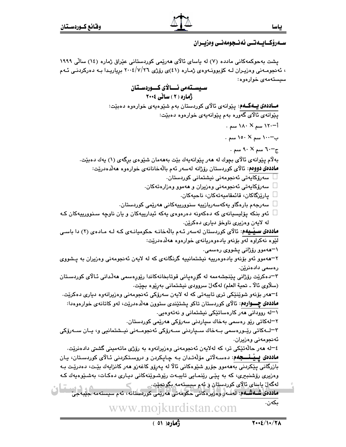## سـەرۆكــابــەتــى ئەنــجومەنــى وەزيــران

پشت بهحوکمهکانی مادده (۷) له باسای ئالای هەرپمی کوردستانی عیراق ژماره (۱۶) سالّی ۱۹۹۹ ، ئەنجومـەنى وەزيـران لــه كۆبوونــەوەى ژمـارە (٤١)ى رۆژى ٢٠٠٤/٧/٢٦ برياريـدا بــه دەركردنــى ئــهم سیستهمهی خوارهوه:

سىستەمى ئــالاي كــوردسـتان ژهاره (۲) سانی ۲۰۰۶ **مــاددهي پــهگــهم**: پێوانهي ئالاي کوردستان بهم شێوهيهي خوارهوه دهبێت: يێوانهي ئالاي گەورە بەم يێوانەيەي خوارەوە دەبێت: أ−۱۲۰ سم × ۱۸۰ سم . ب−۱۰۰ سم × ۱۵۰ سم . ج−∙٦٠ سم ۹۰ ×۹۰ سم . بهلام پێوانهي ئالاي بچوك له هەر پێوانەپەك بێت بەھەمان شێوەي برگەي (١) پەك دەبێت. **ماددەى دووەم**: ئالاي كوردستان رۆژانە لەسەر ئەم بالەخانانەي خوارەوە ھەلدەدريت: سەرۆكايەتى ئەنجومەنى نيشتمانى كوردستان. سەرۆكايەتى ئەنجومەنى وەزيران و ھەموو وەزارەتەكان. پارێزگاكان، قائمقاميەتەكان، ناحيەكان. سەرجەم بارەگار يەكەسەربازييە سنوورييەكانى ھەرێمى كوردستان. ئەو بنكە پۆليسيانەي كە دەكەونە دەرەوەي يەكە ئيدارييەكان و يان ناوچە سىنوورييەكان كـە له لايەن وەزيرى ناوخۆ ديارى دەكرێن. **ماددهی سـیـْـیهم**: ئالای کوردستان لهسهر ئـهم بالّهخانـه حکومیانـهی کـه لـه مـادهی (۲) دا باسـی لێوه نهکراوه لهو بۆنەو يادەوەريانەى خوارەوە ھەلدەدرێت: ۱–ههموو رۆژانى پشووى رەسمى. ۲–ههموو ئهو بۆنەو يادەوەرىييە نىشتمانىييە گرنگانەي كە لە لايەن ئەنجومەنى وەزيران بە پىشووى رەسمى دادەنرێن. ۳–دەكرێت رۆژانى يێنجشەممە لە گۆرەيانى قوتابخانەكاندا رێورەسمى ھەڵدانى ئـالاّى كوردسـتان (سلاوي ئالا ـ تحية العلم) لهگهلٌ سروودي نيشتماني بهريوه بچيت. ٤–هەر بۆنەو شوێنێکى ترى تايبەتى کە لە لايەن سەرۆکى ئەنجومەنى وەزيرانەوە ديارى دەکرێت. **ماددهی چـــوارهم**: ئالای کوردستان تاکو پشتێندی ستوون ههلّدهدرێت، لهو کاتانهی خوارهوهدا: ۱–له روودانی ههر کارهساتێکی نیشتمانی و نهتهوهیی. ۲−لەكاتى رێو رەسمى بەخاك سياردنى سەرۆكى ھەرێمى كوردستان. ۳–لــﻪﻛﺎﺗﻰ ﺭێـﻮﺭﻩﺳﻤﻰ ﺑـﻪﺧﺎﻙ ﺳــﭙﺎﺭﺩﻧﻰ ﺳــﻪﺭﯙﻛﻰ ﺋﻪﻧﺠﻮﻣـﻪﻧﻰ ﻧﻴـﺸﺘﻤﺎﻧﻴﻰ ﻭ، ﻳـﺎﻥ ﺳـﻪﺭﯙﻛﻰ ئەنجومەنى وەزيران. ٤–له هەر حالّەتێكى تر، كه لەلايەن ئەنجومەنى وەزيرانەوە بە رۆژى ماتەمينى گشتى دادەنرێت. **ماددەی يــيْــنــــجِه**م: دەســەلاتى مۆلەتـدان بـه چـاپكردن و دروسـتكردنى ئـالاى كوردسـتان، يـان بازرگانی پێکردنی بەھەمور جۆرو شێوەکانی ئالا لە پەرۆر کاغەزر ھەر کانزايەك بێت، دەدرێت بـە وەزیری رۆشنبیری، که به پێی رێنمایی تایبـهت رێوشـوێنهکانی دیـاری دەکـات، بەشـێوەپەك کـه لەگەل ياساي ئالاي كوردستان ۋ ئەم سىستەمە بگونجێت. ماددەی شــەشـەم: نەسەر وەرپرەكانى حكومەتى مەرپمى كوردستانە، ئەم سىستەمە جېبەجى بكەن.

ڏهاره (٥١)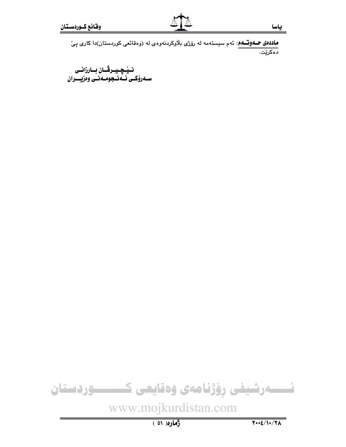نــيْــچــيــرڤــان بــارزانــى<br>ســەرۆكــى ئــەنــجومــەنــى وەزيــــران



# www.mojkurdistan.com

ژُماره( ٥١ )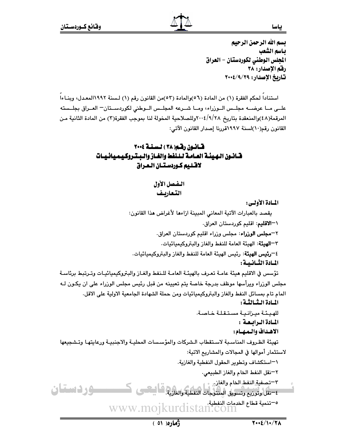ياسا

بسم الله الرحمن الرحيم باسم الشعب المجلس الوطني لكوردستان – العراق رفم الإصدار: ٣٨ تاريخ الإصدار: ٢٠٠٤/٩/٢٩

استناداً لحكم الفقرة (١) من المادة (٥٦)والمادة (٥٣)من القانون رقم (١) لـسنة ١٩٩٢المعـدل، وبنـاءاً علـى مـا عرضــه مجلـس الــوزراء، ومـا شــرعه المجلـس الــوطني لكوردســتان – العــراق بجلــسته المرقمة(٤٨)والمنعقدة بتاريخ ٢٠٠٤/٩/٢٨وللصلاحية المخولة لنا بموجب الفقرة(٣) من المادة الثانية مـن القانون رقم(١٠)لسنة ١٩٩٧قررنا إصدار القانون الآتي:

## قسانسون رقبه( ٣٨ ) لسنة ٢٠٠٤ قسانون الهيئة العبامة للنفط والغباز والبشروكيميائييات لاقتليم كوردستان العراق

التفصل الأول التعاريف

المسادة الأولسي :

يقصد بالعبارات الآتية المعاني المبينة ازاءها لأغراض هذا القانون: \–الاقليم: اقليم كوردستان العراق. ٢=**مجلس الوزراء**: مجلس وزراء اقليم كوردستان العراق. ٣–الهيئة: الهيئة العامة للنفط والغاز والبتروكيميائيات. ٤–**رئيس الهيئة**: رئيس الهيئة العامة للنفط والغاز والبتروكيميائيات. المسادة الثسانيسة : تؤسس في الاقليم هيئة عامـة تعـرف بالهيئـة العامـة للـنفط والغـاز والبتروكيميائيـات وتـرتبط برئاسـة مجلس الورزاء ويرأسها موظف بدرجة خاصة يتم تعيينه من قبل رئيس مجلس الورراء على ان يكون لـه المام تام بمسائل النفط والغاز والبتروكيميائيات ومن حملة الشهادة الجامعية الاولية على الاقل. المبادة الشالشة : للهيئة ميزانية مستقلة خاصة. المادة الرابعة : الاهداف والمهام: تهيئة الظروف المناسبة لاستقطاب الشركات والمؤسسات المحليـة والاجنبيـة ورعايتهـا وتـشجيعها لاستثمار أموالها في المجالات والمشاريع الاتية: ١–استكشاف وتطوير الحقول النفطية والغازية. ٢-نقل النفط الخام والغاز الطبيعي. ٣-تصفية النفط الخام والغازر ــوردستان م تنمية قطاع الخدمات النفطية..<br>WWW.MOjkurdistan.com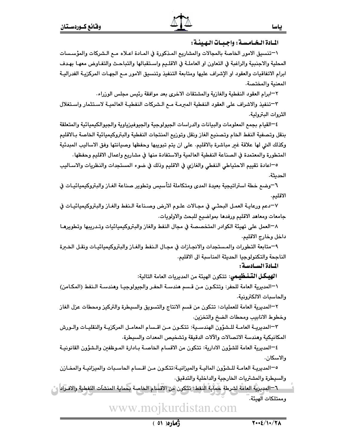## المادة البخيامسية : واجبيات الهيئية :

\−تنسيق الامور الخاصة بالمجالات والمشاريع المـذكورة في المـادة اعـلاه مـع الـشركات والمؤسـسات المحلية والاجنبية والراغبة في التعاون او العاملـة في الاقلـيم واسـتقبالها والتباحـث والتفـاوض معهـا بهـدف ابرام الاتفاقيات والعقود او الإشراف عليها ومتابعة التنفيذ وتنسيق الامور مـع الجهـات المركزيـة الفدراليـة المعنية والمختصة.

٢–ابرام العقود النفطية والغازية والمشتقات الاخرى بعد موافقة رئيس مجلس الوزراء.

٣–تنفيذ والاشراف على العقود النفطية المبرمـة مـم الـشركات النفطيـة العالميـة لاسـتثمار واسـتغلال الثروات البترولية.

٤—القيام بجمع المعلومات والبيانات والدراسات الجيولوجية والجيوفيزياوية والجيوالكيميائية والمتعلقة بنقل وتصفية النفط الخام وتصنيع الغاز ونقل وتوزيع المنتجات النفطية والبتروكيميائية الخاصة بـالاقليم وكذلك التي لها علاقة غير مباشرة بالاقليم. على ان يتم تبويبها وحفظها وصيانتها وفق الاساليب المبدئية المتطورة والمعتمدة في الصناعة النفطية العالمية والاستفادة منها في مشاريع واعمال الاقليم وحفظها.

0−اعادة تقييم الاحتياطي النفطي والغازي في الاقليم وذلك في ضوء المستجدات والنظريات والاسـاليب الحديثة.

٦−وضم خطة استراتيجية بعيدة المدى ومتكاملة لتأسيس وتطوير صناعة الغـاز والبتروكيميائيـات في الاقليم.

٧–دعم ورعايـة العمـل البحثـى في مجـالات علـوم الارض وصـناعة الـنفط والغـاز والبتروكيميائيـات في جامعات ومعاهد الاقليم ورفدها بمواضيع للبحث والاولويات.

٨—العمل على تهيئة الكوادر المتخصصة في مجال النفط والغاز والبتروكيميائيات وتـدريبها وتطويرهـا داخل وخارج الاقليم.

٩–متابعة التطورات والمستجدات والانجـازات في مجـال الـنفط والغـاز والبـتروكيميائيـات ونقـل الخـبرة الناجحة والتكنولوجيا الحديثة المناسبة الى الاقليم.

المسادة السسادسة:

**الهيكل التَّـنظيمي**: تتكون الهيئة من المديريات العامة التالية:

١-المديرية العامة للحفر: وتتكون من قسم هندسة الحفر والجيولوجيـا وهندسـة الـنفط (المكـامن) والحاسبات الالكترونية.

٢–المديرية العامة للعمليات: تتكون من قسم الانتاج والتسويق والسيطرة والتركيز ومحطات عزل الغاز وخطوط الانابيب ومحطات الضخ والتخزين.

٣–المديريــة العامــة للــشؤون الهندســية: تتكـون مــن اقــسام المعامـل المركزيــة والنقليــات والــورش المكانيكية وهندسة الاتصالات والآلات الدقيقة وتشخيص المعدات والسيطرة.

٤—المديرية العامة للشؤون الادارية: تتكون من الاقسام الخاصـة بـادارة المـوظفين والـشؤون القانونيـة والاسكان.

٥−المديريـة العامـة للـشؤون الماليـة والميزانيـة:تتكـون مـن اقـسام الحاسـبات والميزانيـة والمخـازن والسيطرة والمشتريات الخارجية والداخلية والتدقيق.

٦—المديرية العامة لشرطة لحماية النفط: تتكون من الاقسام الخاصة بحماية المنشآت النفطية والافـراد ١ وممتلكات الهيئة.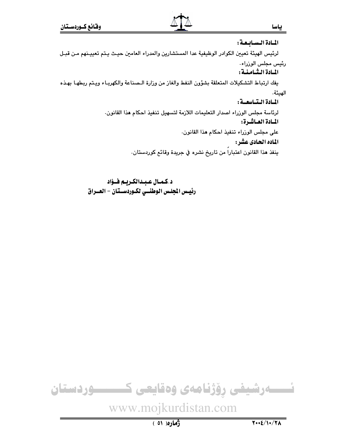#### المسادة السسابيصة :

لرئيس الهيئة تعيين الكوادر الوظيفية عدا المستشارين والمدراء العامين حيث يـتم تعييـنهم مـن قبـل رئيس مجلس الوزراء.

#### المبادة الشيامنية:

يفك ارتباط التشكيلات المتعلقة بشؤون النفط والغاز من وزارة الـصناعة والكهربـاء ويـتم ربطهـا بهـذه الهيئة.

المبادة البتياسعية :

لرئاسة مجلس الوزراء اصدار التعليمات اللازمة لتسهيل تنفيذ احكام هذا القانون. المسادة العساشرة:

على مجلس الوزراء تنفيذ احكام هذا القانون.

الماده الحادي عشر:

ينفذ هذا القانون اعتباراً من تاريخ نشره في جريدة وقائع كوردستان.

د.كمـال عـبـدالكـريـم فــؤاد رئيس الجلس الوطنسى لكـوردسـتان - العــراق



www.mojkurdistan.com

ياسا

ژماره (٥١)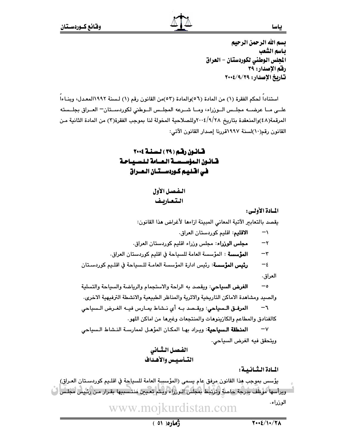ياسا

يسم الله الرحمن الرحيم باسم الشعب المجلس الوطني لكوردستان – العراق رفم الإصدار: ٣٩ تاريخ الإصدار: ٢٠٠٤/٩/٢٩

استنادا لحكم الفقرة (١) من المادة (٥٦)والمادة (٥٣)من القانون رقم (١) لـسنة ١٩٩٢المعـدل، وبنـاءا علـى مـا عرضــه مجلـس الــوزراء، ومــا شــرعه المجلـس الــوطني لكوردســتان - العــراق بجلــسته المرقمة(٤٨)والمنعقدة بتاريخ ٢٨/٢٨وللصلاحية المخولة لنا بموجب الفقرة(٣) من المادة الثانية من القانون رقم(١٠)لسنة ١٩٩٧قررنا إصدار القانون الآتي:

## قانون رقم (٢٩ ) لسنة ٢٠٠٤ قبانيون البواسيسية البعسامة للسيبياحة غي اقتليم كوردستتان العيراق

الفصل الأول التعاربف

المسادة الأولى:

يقصد بالتعابير الآتية المعاني المبينة ازاءها لأغراض هذا القانون:

الاقليم: اقليم كوردستان العراق.  $\rightarrow$ 

مجلس الوزراء: مجلس وزراء اقليم كوردستان العراق.  $-\tau$ 

**المؤسسة** : المؤسسة العامة للسياحة في اقليم كوردستان العراق.  $-\tau$ 

**رئيس المؤسسة**: رئيس ادارة المؤسسة العامـة للـسياحة في اقلـيم كوردسـتان  $-\epsilon$ العراق.

 $-\circ$ ا**لغرض السياحي**: ويقصد به الراحة والاستجمام والرياضة والسياحة والتسلية والصيد ومشاهدة الاماكن التاريخية والاثرية والمناظر الطبيعية والانشطة الترفيهية الاخرى.

المرفـق الـسياحي: ويقـصد بـه أي نـشاط يمـارس فيـه الغـرض الـسياحى  $-1$ كالفنادق والمطاعم والكازينوهات والمنتجعات وغبرها من اماكن اللهو.

المنطقة السياحية: ويراد بها المكان المؤهل لممارسة النشاط السياحي  $-\mathsf{v}$ ويتحقق فيه الغرض السياحى.

> الفصل الثسانى التسأسيس والأهداف

المسادة الشانسة:

يؤسس بموجب هذا القانون مرفقٍ عام يسمى (المؤسسة العامة للسياحة في اقلـيم كوردسـتان العـراق) ِ ويرأسها مُوظِّفْ بِدِرجة خاصة وترتبط بمجلس اللوزراء ويتم تعيين مُنتسببها بقـرار مـن رئيس مجلس <mark>(</mark>بُ الوزراء. www.mojkurdistan.com

 $7.2/1.77A$ 

 $(01)$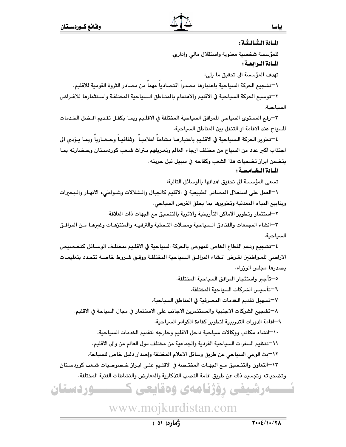ــوردستان

المبادة الشيالشة :

للمؤسسة شخصية معنوية واستقلال مالى وادارى.

المبادة البرابعية :

تهدف المؤسسة الى تحقيق ما يلي:

\一تشجيع الحركة السياحية باعتبارها مصدراً اقتصادياً مهماً من مصادر الثروة القومية للاقليم.

٢−توسيع الحركة السياحية في الاقليم والاهتمام بالمنـاطق الـسياحية المختلفـة واسـتثمارها للاغـراض السياحية.

٣–رفع المستوى السياحي للمرافق السياحية المختلفة في الاقلـيم وبمـا يكفـل تقـديم افـضل الخـدمات للسياح عند الاقامة او التنقل بين المناطق السياحية.

٤-تطوير الحركة السياحية في الاقليم باعتبارهـا نشاطا اعلاميـاً وثقافيـا وحـضاريا وبمـا يـؤدى الى اجتذاب اكبر عدد من السياح من مختلف ارجاء العالم وتعريفهم بتراث شعب كوردستان وحـضارته بمـا يتضمن ابراز تضحيات هذا الشعب وكفاحه في سبيل نيل حريته.

المبادة البخيامسية :

تسعى المؤسسة الى تحقيق اهدافها بالوسائل التالية:

١–العمل على استغلال المصادر الطبيعية في الاقليم كالجبال والـشلالات وشـواطيء الانهـار والـبحيرات وينابيع المياه المعدنية وتطويرها بما يحقق الغرض السياحى.

٢–استثمار وتطوير الاماكن التأريخية والاثرية بالتنسيق مع الجهات ذات العلاقة.

٣–انشاء المجمعات والفنادق الـسياحية ومحـلات التـسلية والترفيــه والمنتزهـات وغيرهـا مـن المرافـق السياحية.

٤–تشجيع ودعم القطاع الخاص للنهوض بالحركة السياحية في الاقلـيم بمختلـف الوسـائل كتخـصيص الاراضى للمواطنين لغرض انشاء المرافـق الـسياحية المختلفـة ووفـق شـروط خاصـة تتحدد بتعليمـات يصدرها مجلس الوزراء.

٥—تأجىر واستئجار المرافق السياحية المختلفة.

٦–تأسيس الشركات السياحية المختلفة.

٧–تسهيل تقديم الخدمات المصرفية في المناطق السياحية.

٨–تشجيع الشركات الاجنبية والمستثمرين الاجانب على الاستثمار في مجال السياحة في الاقليم.

٩–اقامة الدورات التدريبية لتطوير كفاءة الكوادر السياحية.

١٠–انشاء مكاتب ووكالات سياحية داخل الاقليم وخارجه لتقديم الخدمات السياحية.

1\−تنظيم السفرات السياحية الفردية والجماعية من مختلف دول العالم من والى الاقليم.

1٢–بث الوعى السياحي عن طريق وسائل الاعلام المختلفة وإصدار دليل خاص للسياحة.

١٣–التعاون والتنـسيق مـم الجهـات المختـصة في الاقلـيم علـي ابـراز خـصوصيات شـعب كوردسـتان

وتضحياته وتجسيد ذلك عن طريق اقامة النصب التذكارية والمعارض والنشاطات الفنية المختلفة.

۔رشیفی رؤژنامەی وەقايعی 5

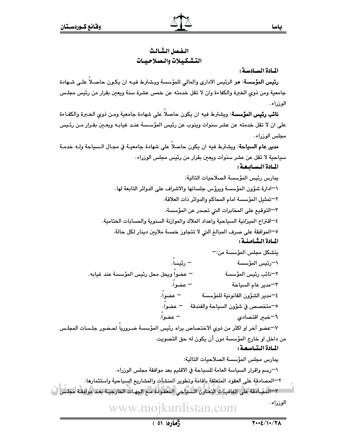المسادة السيادسة:

رئيس المؤسسة: هو الرئيس الاداري والمالي للمؤسسة ويشترط فيـه ان يكون حاصـلا علـى شـهادة جامعية ومن ذوي الخبرة والكفاءة وان لا تقل خدمته عن خمس عشرة سنة ويعين بقرار من رئيس مجلس الوزراء.

**نائب رئيس المؤسسة**: ويشترط فيه ان يكون حاصلا على شهادة جامعية ومـن ذوي الخـبرة والكفـاءة على ان لا تقل خدمته عن عشر سنوات وينوب عن رئيس المؤسسة عنـد غيابـه ويعـين بقـرار مـن رئـيس مجلس الوزراء.

**مدير عام السياحة**: ويشترط فيه ان يكون حاصلاً على شهادة جامعيـة في مجـال الـسياحة ولـه خدمـة سياحية لا تقل عن عشر سنوات ويعين بقرار من رئيس مجلس الوزراء.

المسادة السسايعة:

يمارس رئيس المؤسسة الصلاحيات التالية: ١-ادارة شؤون المؤسسة ويرؤس جلساتها والاشراف على الدوائر التابعة لها. ٢–تمثيل المؤسسة امام المحاكم والدوائر ذات العلاقة. ٣–التوقيع على المخابرات التي تصدر عن المؤسسة. ٤–اقتراح الميزانية السياحية واعداد الملاك والموازنة السنوية والحسابات الختامية. ٥−الموافقة على صرف المبالغ التي لا تتجاوز خمسة ملايين دينار لكل حالة. المبادة البثسامنية : يتشكل مجلس المؤسسة من:- $-$ رئىسا  $-$ \<sup>—</sup>رئيس المؤسسة – عضواً ويحل محل رئيس المؤسسة عند غيابه. ٢–نائب رئيس المؤسسة – عضوا. ٣–مدير عام السياحة — عضواً. ٤--مدبر الشؤون القانونية للمؤسسة 0-متخصص في شؤون السياحة والفندقة مصحفوا. - عضوا. ٦–خبر اقتصادى ٧–عضو آخر او اكثر من ذوى الاختصاص براه رئيس المؤسسة ضـروريا لحـضور جلـسات المجلـس من داخل او خارج المؤسسة دون أن يكون له حق التصويت. المبادة البتياسعية : يمارس مجلس المؤسسة الصلاحيات التالية: \¬رسم واقرار السياسة العامة للسياحة في الاقليم بعد موافقة مجلس الورراء. ٢–المصادقة على العقود المتعلقة بإقامة وتطوير المنشآت والمشاريع السياحية واستثمارها. ٣–المُضَادَقَة عِلَى اتفاقيـات التعـاون السَّنياكي المُعَقُّودة مـم الجهـات الخارجيـة بعـد موافقـة مجلس ا

الوزراء. www.moikurdistan.com

ڏهاره (٥١)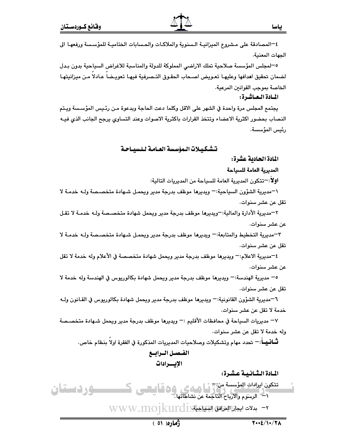٤–المصادقة على مشروع الميزانيـة الـسنوية والملاكـات والحسابات الختاميـة للمؤسـسة ورفعهـا الى الحهات المعنية.

٥−لمجلس المؤسسة صلاحية تملك الاراضي المملوكة للدولة والمناسبة للاغراض السياحية بدون بـدل خىمان تحقيق اهدافها وعليهـا تعـويض اصـحاب الحقـوق التـصرفية فيهـا تعويـضا عـادلا مـن ميزانيتهـا J الخاصة بموجب القوانين المرعية.

## المـادة الـعـاشـرة:

يجتمع المجلس مرة واحدة في الشهر على الاقل وكلما دعت الحاجة وبدعوة مـن رئـيس المؤسـسة ويـتم النصاب بحضور اكثرية الاعضاء وتتخذ القرارات باكثرية الاصوات وعند التساوي يرجح الجانب الذي فيــه رئيس المؤسسة.

## تشكيلات المؤسسة العـامـة لـلـسيــاحـة

## المادة الحادية عشرة:

#### المدبرية العامة للسياحة

**اولا**:−تتكون المدبرية العامة للسباحة من المدبريات التالبة:

\−مديرية الشؤون السياحية:− ويديرها موظف بدرجة مدير ويحمل شـهادة متخصـصة ولــه خدمـة لا تقل عن عشر سنوات.

٢–مديرية الأدارة والمالية:–ويديرها موظف بدرجة مدير ويحمل شهادة متخصـصة ولــه خدمــة لا تقـل عن عشر سنوات.

٣-مديرية التخطيط والمتابعة:- ويديرها موظف بدرجة مدير ويحمل شـهادة متخصـصة ولـــ» خدمــة لا تقل عن عشر سنوات.

٤−مديرية الاعلام:− ويديرها موظف بدرجة مدير ويحمل شهادة متخصصة في الأعلام وله خدمة لا تقل عن عشر سنوات.

0– مديرية الهندسة:– ويديرها موظف بدرجة مدير ويحمل شهادة بكالوريوس في الهندسة وله خدمة لا تقل عن عشر سنوات.

٦-مديرية الشؤون القانونية:- ويديرها موظف بدرجة مدير ويحمل شهادة بكالوريوس في القـانون ولـه خدمة لا تقل عن عشر سنوات.

∀− مديريات السياحة في محافظات الأقليم :− ويديرها موظف بدرجة مدير ويحمل شـهادة متخصـصة وله خدمة لا تقل عن عشر سنوات.

**ثـــانــيـــا**ً:— تحدد مهام وتشكيلات وصلاحيات المديريات المذكورة في الفقرة اولاً بنظام خاص. الفـصـل الـرابــع

الإيسرادات

المادة الثـانـيـة عـشـرة:

- كىسىسى**ردىستان** م التكون الرادات المؤسسة من تقطيع الجماعي وه قياليكسي ١ - الرسوم والارباح الناجمة عن نشاطاتها.
	- v بدلات ايجازا المزافق الشاعية WWW.MOjkurdist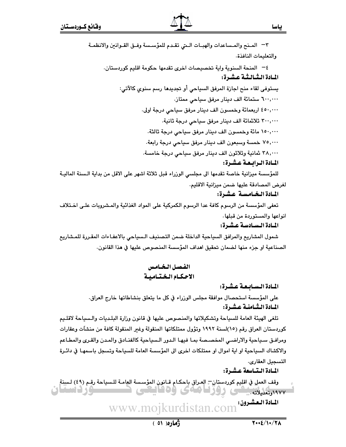| ٣– المـنح والمـساعدات والهبـات الــتي تقـدم للمؤسـسة وفـق القـوانين والانظمـة                   |
|-------------------------------------------------------------------------------------------------|
| والتعليمات النافذة.                                                                             |
| <sup>ع—</sup> المنحة السنوية واية تخصيصات اخرى تقدمها حكومة اقليم كوردستان.                     |
| المادة الثمالثة عشرة:                                                                           |
| يستوفى لقاء منح اجازة المرفق السياحي أو تجديدها رسم سنوي كالآتي:                                |
| ٦٠٠,٠٠٠ ستمائة الف دينار مرفق سياحي ممتاز.                                                      |
| ٤٥٠,٠٠٠ اربعمائة وخمسون الف دينار مرفق سياحي درجة اولى.                                         |
| ٣٠٠,٠٠٠ ثلاثمائة الف دينار مرفق سياحي درجة ثانية.                                               |
| ١٥٠,٠٠٠ مائة وخمسون الف دينار مرفق سياحي درجة ثالثة.                                            |
| ٧٥,٠٠٠ خمسة وسبعون الف دينار مرفق سياحي درجة رابعة.                                             |
| ٣٨,٠٠٠ شانية وثلاثون الف دينار مرفق سياحي درجة خامسة.                                           |
| المادة الرابعة عشرة:                                                                            |
| للمؤسسة ميزانية خاصة تقدمها الى مجلسي الوزراء قبل ثلاثة اشهر على الاقل من بداية الـسنة الماليـة |
| لغرض المصادقة عليها ضمن ميزانية الاقليم.                                                        |
| المادة الخامسة عشرة:                                                                            |
| تعفى المؤسسة من الرسوم كافة عدا الرسوم الكمركية على المواد الغذائية والمشروبات علـى اخـتلاف     |
| انواعها والمستوردة من قبلها.                                                                    |
| المادة السادسة عشرة:                                                                            |
| شمول المشاريع والمرافق السياحية الداخلة ضمن التصنيف الـسياحي بالاعفـاءات المقـررة للمـشاريع     |
| الصناعية او حزء منها لضمان تحقيق اهداف المؤسسة المنصوص عليها في هذا القانون.                    |

المادة السابعة عشرة:

على المؤسسة استحصال موافقة مجلس الورراء في كل ما يتعلق بنشاطاتها خارج العراق. المادة الشامنية عشرة:

تلغى الهيئة العامة للسياحة وتشكيلاتها والمنصوص عليها في قانون وزارة البلـديات والـسياحة لاقلـيم كوردستان العراق رقم (١٥)لسنة ١٩٩٢ وتؤول ممتلكاتها المنقولة وغير المنقولة كافة من منشآت وعقارات ومرافـق سـياحية والاراضـى المخصـصة بمـا فيهـا الـدور الـسياحية كالفنـادق والمـدن والقـرى والمطـاعم والاكشاك السياحية او اية اموال او ممتلكات اخرى الى المؤسسة العامة للسياحة وتسجل باسمهـا في دائـرة التسجيل العقاري.

المادة التتاسعة عشرة:

المادة العشرون: www.mojkurdistan.com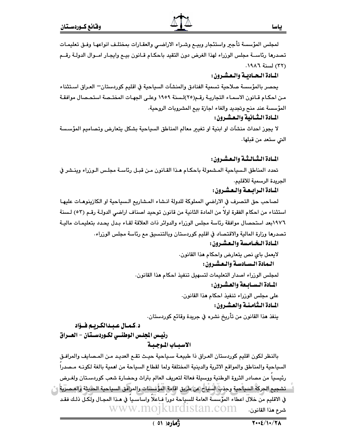ياسا

لمجلس المؤسسة تأجير واستئجار وبيـع وشـراء الاراضـى والعقـارات بمختلـف انواعهـا وفـق تعليمـات تصدرها رئاســة مجلس الوزراء لهذا الغرض دون التقيد باحكـام قـانون بيـع وايجـار امــوال الدولـة رقــم (٣٢) لسنة ١٩٨٦.

## المبادة البحياديية والبعشيرون:

يحصر بالمؤسسة صلاحية تسمية الفنادق والمنشآت السياحية في اقليم كوردستان— العراق اسـتثناء من احكـام قـانون الاسمـاء التجاريـة رقـم(٢٥)لـسنة ١٩٥٩ وعلـى الجهـات المختـصة استحـصال موافقـة المؤسسة عند منح وتجديد والغاء اجازة بيع المشروبات الروحية.

## المبادة الشيانية والتعشيرون:

لا يجوز احداث منشآت او ابنية او تغيير معالم المناطق السياحية بشكل يتعارض وتصاميم المؤسسة التي ستعد من قبلها.

## المبادة الشبالشة والبعشرون:

تحدد المناطق الـسياحية المـشمولة باحكـام هـذا القـانون مـن قبـل رئاسـة مجلـس الـوزراء وينـشر في الجريدة الرسمية للاقليم.

المبادة البرابيعة والتعشيرون:

لصاحب حق التصرف في الاراضي المملوكة للدولة انـشاء المـشاريع الـسياحية او الكازينوهـات عليهـا استثناء من احكام الفقرة اولا من المادة الثانية من قانون توحيد اصناف اراضي الدولـة رقـم (٥٣) لـسنة ١٩٧٦بعد استحصال موافقة رئاسة مجلس الوزراء والدوائر ذات العلاقة لقـاء بـدل يحـدد بتعليمـات ماليـة تصدرها وزارة المالية والاقتصاد في اقليم كوردستان وبالتنسيق مع رئاسة مجلس الوزراء.

## المبادة البخيامسة والبعشيرون:

لايعمل باي نص يتعارض واحكام هذا القانون.

الـمادة الـسـادسـة والـعـشـرون :

لمجلس الورراء اصدار التعليمات لتسهيل تنفيذ احكام هذا القانون.

المبادة السسابيعة والعشيرون:

على مجلس الوزراء تنفيذ احكام هذا القانون. المبادة التثامنية والعشرون:

ينفذ هذا القانون من تأريخ نشره في جريدة وقائع كوردستان.

## د.كمـال عـبـدالكـريـم فــؤاد رئيس الجلس الوطنسي لكـوردسـتان - العــراق الاسيساب الموجيبة

بالنظر لكون اقليم كوردستان العراق ذا طبيعـة سـياحية حيـث تقـم العديـد مـن المـصايف والمرافـق السياحية والمناطق والمواقع الاثرية والدينية المختلفة ولما لقطاع السياحة من اهمية بالغة لكونـه مـصدرا رئيسيا من مصادر الثروة الوطنية ووسيلة فعالة لتعريف العالم بتراث وحضارة شعب كوردسـتان ولغـرض - تشجيع الجركة السياحية وجذب السياح عن طريق اقامة المؤسسات والمرافق السياحية الحديثة والعصرية إن في الاقليم من خلال اعطاء المُؤْسسة العامة للسياحة دوراً فـاعلاً واساسـياً في مـذا المجـال ولَكـل ذلـك فقـد www.mojkurdistan.com شرع هذا القانون.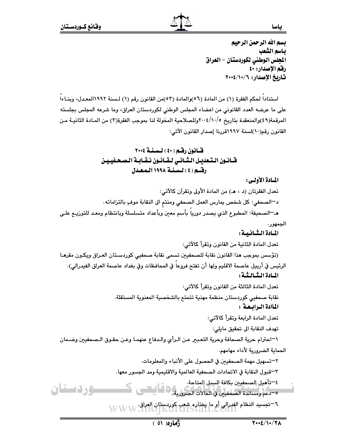ياسا

بسم الله الرحمن الرحيم بياسم الشعب المجلس الوطني لكوردستان – العراق رقم الإصدار: ٤٠ تاريخ الإصدار: ١٠/١٠/١٠/٢

استنادا لحكم الفقرة (١) من المادة (٥٦)والمادة (٥٣)من القانون رقم (١) لـسنة ١٩٩٢المعـدل، وبنـاءا على ما عرضه العدد القانوني من اعضاء المجلس الوطني لكوردستان العراق، وما شرعه المجلس بجلسته المرقمة(٤٩)والمنعقدة بتاريخ ٢٠٠٤/١٠/٥وللصلاحية المخولة لنا بموجب الفقرة(٣) من المـادة الثانيـة مـن القانون رقم(١٠)لسنة ١٩٩٧قررنا إصدار القانون الآتي:

> قانون رقم (٤٠) لسنة ٢٠٠٤ قسانون التعديل الثسانى لقبانون نقبابة الصحفيين رقسم (٤) لسنة ١٩٩٨ المعدل

#### المسادة الأولسي :

تعدل الفقرتان (د ، هـ) من المادة الأولى وتقرآن كالآتى: د—الصحفي: كل شخص يمارس العمل الصحفي ومنتم الى النقابة موفهِ بالتزاماته. هـ¬الصحيفة: المطبوع الذي يصدر دوريا بأسم معين وبأعداد متسلسلة وبانتظام ومعد للتوزيـم علـي الجمهور. المسادة الشيانيية : تعدل المادة الثانية من القانون وتقرأ كالآتي: (تؤسس بموجب هذا القانون نقابة للصحفيين تسمى نقابة صحفيي كوردسـتان العـراق ويكـون مقرهـا الرئيس في أربيل عاصمة الاقليم ولها أن تفتح فروعا في المحافظات وفي بغداد عاصمة العراق الفيدرالي). المبادة الشيالشة : تعدل المادة الثالثة من القانون وتقرأ كالآتي: نقابة صحفيي كوردستان منظمة مهنية تتمتع بالشخصية المعنوية المستقلة. المأادة الرابعة : تعدل المادة الرابعة وتقرأ كالآتي: تهدف النقابة الى تحقيق مايلي: \−احترام حرية الصحافة وحرية التعبير عن الـرأى والـدفاع عنهمـا وعـن حقـوق الـصحفيين وضـمان الحماية الضرورية لأداء مهامهم. ٢–تسهيل مهمة الصحفيين في الحصول على الأنباء والمعلومات. ٣–قبول النقابة في الاتحادات الصحفية العالمية والاقليمية ومد الجسور معها. ٤—تأهيل الصحفيين بكافة السبل المتاحة. ه — دعم ومساندة الصحفيين في الحالات الضرورية.<br>● –دعم ومساندة الصحفيين في الحالات الضرورية. وردستان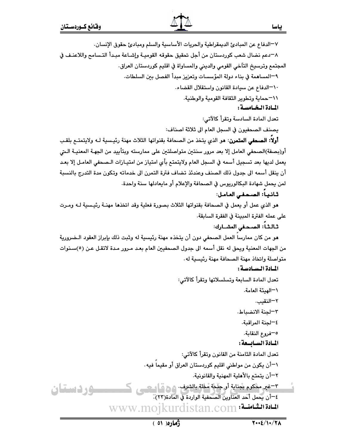٧-الدفاع عن المبادئ الديمقراطية والحريات الأساسية والسلم ومبادئ حقوق الإنسان.

٨–دعم نضال شعب كوردستان من أجل تحقيق حقوقه القوميـة وإشـاعة مبـدأ التـسامح واللاعنـف في

المجتمع وترسيخ التآخي القومى والدينى والمساواة في اقليم كوردستان العراق.

٩–المساهمة في بناء دولة المؤسسات وتعزيز مبدأ الفصل بين السلطات.

١٠-الدفاع عن سيادة القانون واستقلال القضاء.

1\7حماية وتطوير الثقافة القومية والوطنية.

المادة البخيامسية :

تعدل المادة السادسة وتقرأ كالآتي:

يصنف الصحفيون في السجل العام الى ثلاثة اصناف:

أولاً: الصحفى المتمرن: مو الذي يتخذ من الصحافة بقنواتها الثلاث مهنة رئيسية لـه ولايتمتـع بلقـب أو(بصفة)الصحفي العامل إلا بعد مرور سنتين متواصلتين على ممارسته وبتأييد من الجهـة المعنيـة الـتي يعمل لديها بعد تسجيل أسمه في السجل العام ولايتمتع بأي امتياز من امتيـازات الـصحفى العامـل إلا بعـد أن ينقل أسمه الى جدول ذلك الصنف وعندئذ تضاف فترة التمرن الى خدماته وتكون مدة التدرج بالنسبة لمن يحمل شهادة البكالوريوس في الصحافة والإعلام أو مايعادلها سنة واحدة.

## ثانياً: الصحفي العامل:

هو الذي عمل أو يعمل في الصحافة بقنواتها الثلاث بصورة فعلية وقد اتخذها مهنـة رئيـسية لـه ومـرت على عمله الفترة المبينة في الفقرة السابقة.

## ثالثاً: الصحفى المشـارك:

هو من كان ممارسا العمل الصحفى دون أن يتخذه مهنة رئيسية له وثبت ذلك بإبراز العقود الـضرورية من الجهات المعنية ويحق له نقل أسمه الى جدول الصحفيين العام بعد مـرور مـدة لاتقـل عـن (٥)سـنوات متواصلة واتخاذ مهنة الصحافة مهنة رئيسية له.

## المبادة السيادسة:

تعدل المادة السابعة وتسلسلاتها وتقرأ كالآتى:

\—الهيئة العامة.

٢–النقيب.

٣–لحنة الانضباط.

٤–لجنة المراقبة.

0–فروع النقابة.

## المسادة السسابسعة :

تعدل المادة الثامنة من القانون وتقرأ كالآتي:

١–أن يكون من مواطني اقليم كوردستان العراق أو مقيماً فيه.

٢–أن يتمتم بالأهلية المهنية والقانونية.

٣-غير محكوم بجناية أو جَنْجَة مُخْلة بالشرف. ٨ ٥ قُلُ مَسْتِي وردستان ٤–أن يحمل أحد العناوين الصحفية الواردة في المادة(٢٣). www.mojkurdistan.com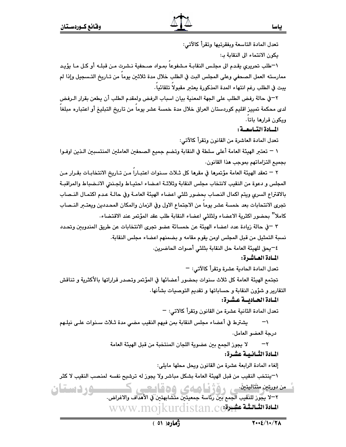<u>سور دستان</u>

تعدل المادة التاسعة وبفقرتيها وتقرأ كالآتي:

يكون الانتماء الى النقابة بـ:

١-طلب تحريري يقدم الى مجلس النقابـة مـشفوعا بمـواد صـحفية نـشرت مـن قبلـه أو كـل مـا يؤيـد ممارسته العمل الصحفى وعلى المجلس البت في الطلب خلال مدة ثلاثين يوما من تـاريخ التـسجيل وإذا لم بِبت في الطلب رغم انتهاء المدة المذكورة بعتبر مقبولا تلقائيا.

٢-في حالة رفض الطلب على الجهة المعنية بيان اسباب الرفض ولمقدم الطلب أن يطعن بقرار الـرفض لدى محكمة تمييز اقليم كوردستان العراق خلال مدة خمسة عشر يوماً من تاريخ التبليغ أو اعتباره مبلغاً ويكون قرارها باتا.

المسادة التساسعية:

تعدل المادة العاشرة من القانون وتقرأ كالآتى:

١ – تعتبر الهيئة العامة أعلى سلطة في النقابة وتضم جميع الصحفين العاملين المنتسبين الـذين اوفـوا بجميع التزاماتهم بموجب هذا القانون.

٢ – تعقد الهيئة العامة مؤتمرها في مقرها كل ثـلاث سـنوات اعتبـارا مـن تـاريخ الانتخابـات بقـرار مـن المجلس و دعوة من النقيب لانتخاب مجلس النقابة وثلاثـة اعـضاء احتيـاط ولجـنـتى الانـضباط والمراقبـة بالاقتراع السرى ويتم اكمال النصاب بحضور ثلثى اعضاء الهيئة العامـة وفي حالـة عـدم اكتمـال النـصاب تجرى الانتحابات بعد خمسة عشر يوما من الاجتماع الاول وفي الزمان والمكان المحددين ويعتـــر النــصاب كاملا" بحضور اكثرية الاعضاء ولثلثي اعضاء النقابة طلب عقد المؤتمر عند الاقتضاء.

٣ –في حالة زيادة عدد اعضاء الهيئة عن خمسائة عضو تجرى الانتخابات عن طريق المندوبين وتحدد نسبة التمثيل من قبل المجلس اومن يقوم مقامه و بضمنهم اعضاء مجلس النقابة.

٤–يحق للهيئة العامة حل النقابة بثلثي أصوات الحاضرين.

المسادة العساشرة:

تعدل المادة الحادية عشرة وتقرأ كالآتي: –

تجتمع الهيئة العامة كل ثلاث سنوات بحضور أعضائها في المؤتمر وتصدر قراراتها بالأكثرية و تناقش التقارير و شؤون النقابة و حساباتها و تقديم التوصيات بشأنها٠

## المـادة الحـاديسة عـشـرة:

تعدل المادة الثانية عشرة من القانون وتقرأ كالاتي: –

يشترط في أعضاء مجلس النقابة بمن فيهم النقيب مضي مدة ثـلاث سـنوات علـى نيلـهم  $\overline{\phantom{0}}$ درجة العضو العامل.

> لا يجوز الجمع بين عضوية اللجان المنتخبة من قبل الهيئة العامة  $-\tau$ المادة الثـانـيـة عشـرة:

> > إلغاء المادة الرابعة عشرة من القانون ويحل محلها مايلي:

١–ينتخب النقيب من قبل الهيئة العامة بشكل مباشر ولا يجوز له ترشيح نفسه لمنصب النقيب لا كثر

مندستهن مثتلبتینی رؤژنیا صهی وهقاییهی ک

٢–لا يجوز للنَّقيب الجمم بين رئاسة جمعيتين متشابهتين في الأهداف والاغراض. WWW.mojkurdistan.com المادة الثمانية عشورة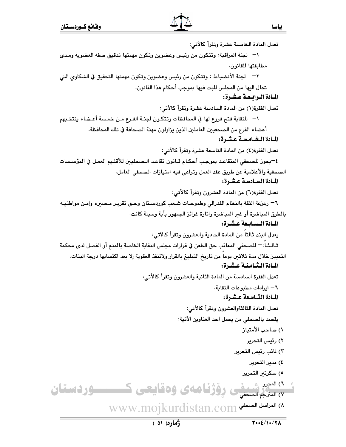تعدل المادة الخامسة عشرة وتقرأ كالآتي: \¬ لجنة المراقبة: وتتكون من رئيس وعضوين وتكون مهمتها تدقيق صفة العضوية ومـدى مطابقتها للقانون. ٢— لجنة الأنضباط : وتتكون من رئيس وعضوين وتكون مهمتها التحقيق في الشكاوى التي تحال اليها من المجلس للبت فيها بموجب أحكام هذا القانون. المبادة البرابيعة عشرة: تعدل الفقرة(١) من المادة السادسة عشرة وتقرأ كالآتي: \¬ للنقابة فتح فروع لها في المحافظات وتتكون لجنــة الفـرع مـن خمـسة أعـضاء ينتخـبهم أعضاء الفرع من الصحفيين العاملين الذين يزاولون مهنة الصحافة في تلك المحافظة. المبادة البخيامسية عشرة: تعدل الفقرة(٤) من المادة التاسعة عشرة وتقرأ كالآتي: ٤—يجوز للصحفى المتقاعد بموجب أحكـام قـانون تقاعـد الـصحفيين للأقلـيم العمـل في المؤسـسات الصحفية والأعلامية عن طريق عقد العمل وتراعى فيه امتيازات الصحفى العامل. المبادة السيادسية عشيرة: تعدل الفقرة(٦) من المادة العشرون وتقرأ كالأتي: ٦– زعزعة الثقة بالنظام الفدرالي وطموحـات شـعب كوردسـتان وحـق تقريـر مـصيره وامـن مواطنيـه بالطرق المباشرة أو غير المباشرة واثارة غرائز الجمهور بأية وسيلة كانت. المبادة البسيانيعة عشرة: يعدل البند ثالثاً من المادة الحادية والعشرون وتقرأ كالآتي: ثـالـثـاً :— للصحفى المعاقب حق الطعن في قرارات مجلس النقابة الخاصة بالمنع أو الفصل لدى محكمة التمييز خلال مدة ثلاثين يوما من تاريخ التبليغ بالقرار ولاتنفذ العقوبة إلا بعد اكتسابها درجة البتات. المبادة الشامنية عشرة: تعدل الفقرة السادسة من المادة الثانية والعشرون وتقرأ كالأتي: ٦– ايرادات مطبوعات النقابة. المـادة التــاسـعة عـشـرة: تعدل المادة الثالثةوالعشرون وتقرأ كالأتى: يقصد بالصحفى من يحمل احد العناوين الآتية: ١) صاحب الأمتياز ٢) رئيس التحرير ٢) نائب رئيس التحرير ٤) مدير التحرير ٥) سكرتىر التحرير ٦) المعرد شعرف رؤژنا ههى وهقايعى كــــــوردستان M العراسل الصحفي www.mojkurdistan.com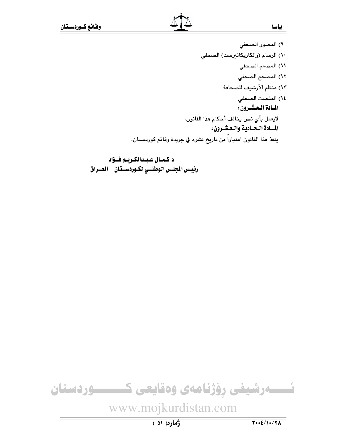- ٩) المصور الصحفى
- ١٠) الرسام (والكاريكاتيرست) الصحفي
	- \۱) المصمم الصح**في**
	- ١٢) المصحح الصحفي
	- ١٣) منظم الأرشيف للصحافة
		- ١٤) المنصت الصحفي

المسادة العشرون:

لايعمل بأي نص يخالف أحكام هذا القانون. المسادة السعادية والعشرون:

ينفذ هذا القانون اعتباراً من تاريخ نشره في جريدة وقائع كوردستان.

د.كمـال عـبـدالكـريـم فــؤاد رئيس الجلس الوطنسي لكـوردسـتان - العــراق



www.mojkurdistan.com

 $\sqrt{1+\frac{2}{\pi}}$ 

ژُماره( ٥١ )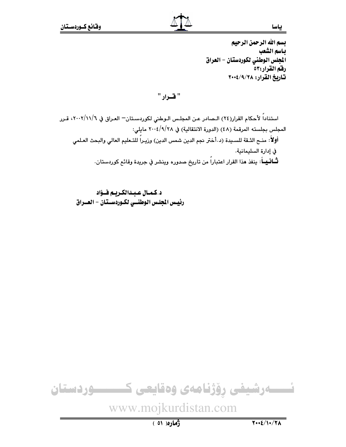بسم الله الرحمن الرحيم باسم الشعب الجلس الوطني لكوردستان - العراق رفقم القرار:٥٣ تاريخ القرار: ٢٠٠٤/٩/٢٠٠٢

" قرار "

استناداً لأحكام القرار(٢٤) الـصادر عـن المجلـس الـوطني لكوردسـتان= العـراق في ٢٠٠٢/١١/٦، قـرر المجلس بجلسته المرقمة (٤٨) (الدورة الانتقالية) في ٢٠٠٤/٩/٢٨ مايلي: أولاً: منــم الثــقة للسـيدة (د.أختر نجم الدين شمس الدين) وزيـراً للتـعليم العالي والبحث العـلمي في إدارة السليمانية. **ثــانــيــا**َ: ينفذ هذا القرار اعتباراً من تاريخ صدوره وينشر في جريدة وقائع كوردستان.

د.كمال عبدالكريم فـؤاد رئيس الجلس الوطنسي لكـوردسـتان - العــراق